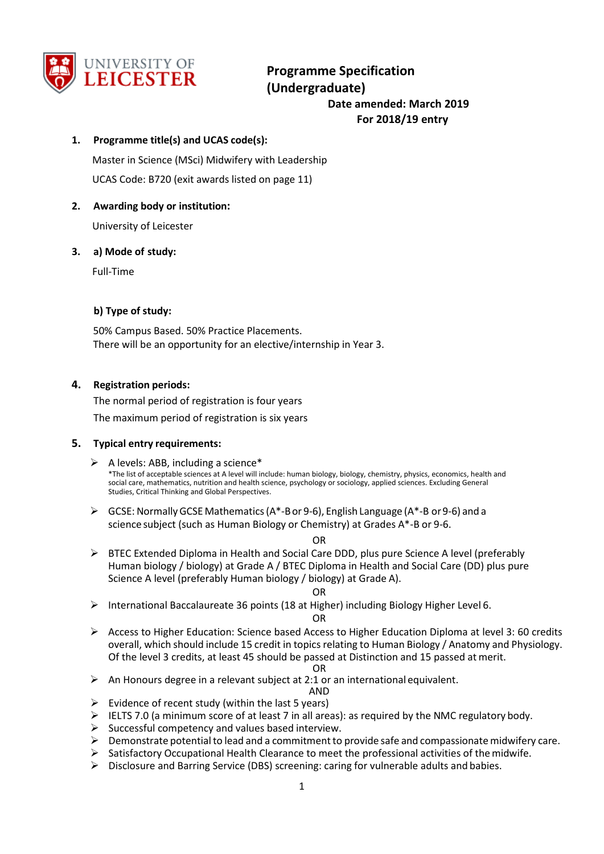

# **Programme Specification (Undergraduate) Date amended: March 2019 For 2018/19 entry**

### **1. Programme title(s) and UCAS code(s):**

Master in Science (MSci) Midwifery with Leadership UCAS Code: B720 (exit awards listed on page 11)

### **2. Awarding body or institution:**

University of Leicester

### **3. a) Mode of study:**

Full-Time

### **b) Type of study:**

50% Campus Based. 50% Practice Placements. There will be an opportunity for an elective/internship in Year 3.

### **4. Registration periods:**

The normal period of registration is four years The maximum period of registration is six years

### **5. Typical entry requirements:**

- $\triangleright$  A levels: ABB, including a science\* \*The list of acceptable sciences at A level will include: human biology, biology, chemistry, physics, economics, health and social care, mathematics, nutrition and health science, psychology or sociology, applied sciences. Excluding General Studies, Critical Thinking and Global Perspectives.
- $\triangleright$  GCSE: Normally GCSE Mathematics (A\*-B or 9-6), English Language (A\*-B or 9-6) and a science subject (such as Human Biology or Chemistry) at Grades A\*-B or 9-6.

OR

 $\triangleright$  BTEC Extended Diploma in Health and Social Care DDD, plus pure Science A level (preferably Human biology / biology) at Grade A / BTEC Diploma in Health and Social Care (DD) plus pure Science A level (preferably Human biology / biology) at Grade A).

#### OR

International Baccalaureate 36 points (18 at Higher) including Biology Higher Level 6.

OR

 $\triangleright$  Access to Higher Education: Science based Access to Higher Education Diploma at level 3: 60 credits overall, which should include 15 credit in topics relating to Human Biology / Anatomy and Physiology. Of the level 3 credits, at least 45 should be passed at Distinction and 15 passed atmerit.

#### OR

- $\triangleright$  An Honours degree in a relevant subject at 2:1 or an international equivalent.
- AND  $\triangleright$  Evidence of recent study (within the last 5 years)
- IELTS 7.0 (a minimum score of at least 7 in all areas): as required by the NMC regulatory body.
- $\triangleright$  Successful competency and values based interview.
- $\triangleright$  Demonstrate potential to lead and a commitment to provide safe and compassionate midwifery care.
- $\triangleright$  Satisfactory Occupational Health Clearance to meet the professional activities of the midwife.
- $\triangleright$  Disclosure and Barring Service (DBS) screening: caring for vulnerable adults and babies.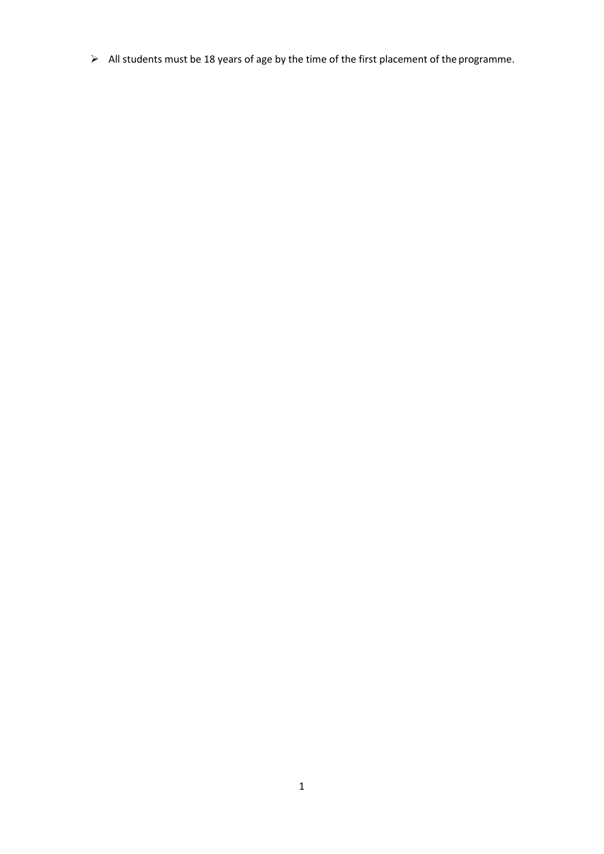$\triangleright$  All students must be 18 years of age by the time of the first placement of the programme.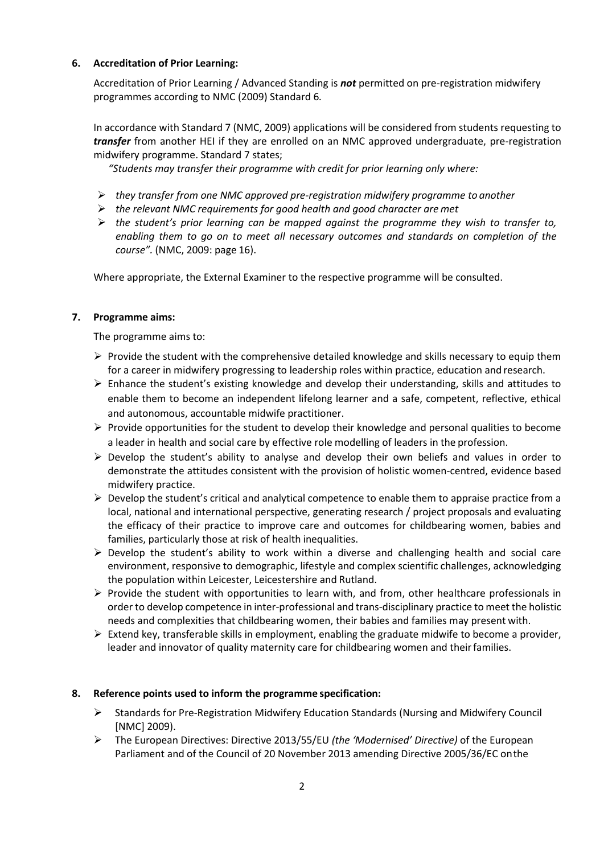### **6. Accreditation of Prior Learning:**

Accreditation of Prior Learning / Advanced Standing is *not* permitted on pre-registration midwifery programmes according to NMC (2009) Standard 6*.*

In accordance with Standard 7 (NMC, 2009) applications will be considered from students requesting to *transfer* from another HEI if they are enrolled on an NMC approved undergraduate, pre-registration midwifery programme. Standard 7 states;

*"Students may transfer their programme with credit for prior learning only where:*

- *they transfer from one NMC approved pre-registration midwifery programme to another*
- *the relevant NMC requirements for good health and good character are met*
- *the student's prior learning can be mapped against the programme they wish to transfer to, enabling them to go on to meet all necessary outcomes and standards on completion of the course".* (NMC, 2009: page 16).

Where appropriate, the External Examiner to the respective programme will be consulted.

## **7. Programme aims:**

The programme aims to:

- $\triangleright$  Provide the student with the comprehensive detailed knowledge and skills necessary to equip them for a career in midwifery progressing to leadership roles within practice, education and research.
- $\triangleright$  Enhance the student's existing knowledge and develop their understanding, skills and attitudes to enable them to become an independent lifelong learner and a safe, competent, reflective, ethical and autonomous, accountable midwife practitioner.
- $\triangleright$  Provide opportunities for the student to develop their knowledge and personal qualities to become a leader in health and social care by effective role modelling of leaders in the profession.
- $\triangleright$  Develop the student's ability to analyse and develop their own beliefs and values in order to demonstrate the attitudes consistent with the provision of holistic women-centred, evidence based midwifery practice.
- $\triangleright$  Develop the student's critical and analytical competence to enable them to appraise practice from a local, national and international perspective, generating research / project proposals and evaluating the efficacy of their practice to improve care and outcomes for childbearing women, babies and families, particularly those at risk of health inequalities.
- $\triangleright$  Develop the student's ability to work within a diverse and challenging health and social care environment, responsive to demographic, lifestyle and complex scientific challenges, acknowledging the population within Leicester, Leicestershire and Rutland.
- $\triangleright$  Provide the student with opportunities to learn with, and from, other healthcare professionals in order to develop competence in inter-professional and trans-disciplinary practice to meet the holistic needs and complexities that childbearing women, their babies and families may present with.
- $\triangleright$  Extend key, transferable skills in employment, enabling the graduate midwife to become a provider, leader and innovator of quality maternity care for childbearing women and their families.

## **8. Reference points used to inform the programme specification:**

- $\triangleright$  Standards for Pre-Registration Midwifery Education Standards (Nursing and Midwifery Council [NMC] 2009).
- The European Directives: Directive 2013/55/EU *(the 'Modernised' Directive)* of the European Parliament and of the Council of 20 November 2013 amending Directive 2005/36/EC onthe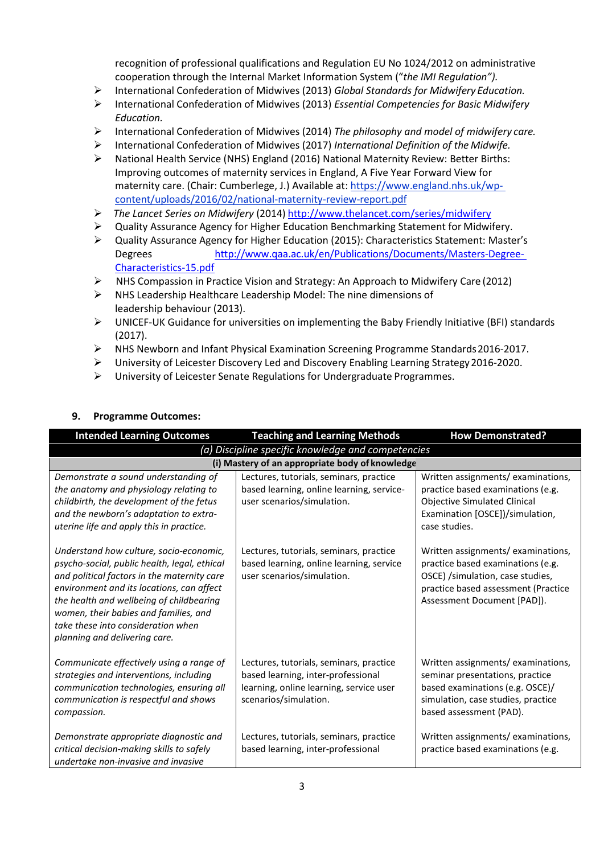recognition of professional qualifications and Regulation EU No 1024/2012 on administrative cooperation through the Internal Market Information System ("*the IMI Regulation").*

- International Confederation of Midwives (2013) *Global Standards for Midwifery Education.*
- International Confederation of Midwives (2013) *Essential Competencies for Basic Midwifery Education.*
- International Confederation of Midwives (2014) *The philosophy and model of midwifery care.*
- International Confederation of Midwives (2017) *International Definition of the Midwife.*
- $\triangleright$  National Health Service (NHS) England (2016) National Maternity Review: Better Births: Improving outcomes of maternity services in England, A Five Year Forward View for maternity care. (Chair: Cumberlege, J.) Available at: [https://www.england.nhs.uk/wp](https://www.england.nhs.uk/wp-content/uploads/2016/02/national-maternity-review-report.pdf)[content/uploads/2016/02/national-maternity-review-report.pdf](https://www.england.nhs.uk/wp-content/uploads/2016/02/national-maternity-review-report.pdf)
- *The Lancet Series on Midwifery* (2014) <http://www.thelancet.com/series/midwifery>
- $\triangleright$  Quality Assurance Agency for Higher Education Benchmarking Statement for Midwifery.
- Quality Assurance Agency for Higher Education (2015): Characteristics Statement: Master's Degrees [http://www.qaa.ac.uk/en/Publications/Documents/Masters-Degree-](http://www.qaa.ac.uk/en/Publications/Documents/Masters-Degree-Characteristics-15.pdf)[Characteristics-15.pdf](http://www.qaa.ac.uk/en/Publications/Documents/Masters-Degree-Characteristics-15.pdf)
- NHS Compassion in Practice Vision and Strategy: An Approach to Midwifery Care (2012)
- $\triangleright$  NHS Leadership Healthcare Leadership Model: The nine dimensions of leadership behaviour (2013).
- $\triangleright$  UNICEF-UK Guidance for universities on implementing the Baby Friendly Initiative (BFI) standards (2017).
- NHS Newborn and Infant Physical Examination Screening Programme Standards2016-2017.
- University of Leicester Discovery Led and Discovery Enabling Learning Strategy2016-2020.
- University of Leicester Senate Regulations for Undergraduate Programmes.

| <b>Intended Learning Outcomes</b>                                                                                                                                                                                                                                                                                                               | <b>Teaching and Learning Methods</b>                                                                                                              | <b>How Demonstrated?</b>                                                                                                                                                         |  |  |  |  |  |  |  |  |
|-------------------------------------------------------------------------------------------------------------------------------------------------------------------------------------------------------------------------------------------------------------------------------------------------------------------------------------------------|---------------------------------------------------------------------------------------------------------------------------------------------------|----------------------------------------------------------------------------------------------------------------------------------------------------------------------------------|--|--|--|--|--|--|--|--|
|                                                                                                                                                                                                                                                                                                                                                 | (a) Discipline specific knowledge and competencies                                                                                                |                                                                                                                                                                                  |  |  |  |  |  |  |  |  |
| (i) Mastery of an appropriate body of knowledge                                                                                                                                                                                                                                                                                                 |                                                                                                                                                   |                                                                                                                                                                                  |  |  |  |  |  |  |  |  |
| Demonstrate a sound understanding of<br>the anatomy and physiology relating to<br>childbirth, the development of the fetus<br>and the newborn's adaptation to extra-<br>uterine life and apply this in practice.                                                                                                                                | Lectures, tutorials, seminars, practice<br>based learning, online learning, service-<br>user scenarios/simulation.                                | Written assignments/examinations,<br>practice based examinations (e.g.<br><b>Objective Simulated Clinical</b><br>Examination [OSCE])/simulation,<br>case studies.                |  |  |  |  |  |  |  |  |
| Understand how culture, socio-economic,<br>psycho-social, public health, legal, ethical<br>and political factors in the maternity care<br>environment and its locations, can affect<br>the health and wellbeing of childbearing<br>women, their babies and families, and<br>take these into consideration when<br>planning and delivering care. | Lectures, tutorials, seminars, practice<br>based learning, online learning, service<br>user scenarios/simulation.                                 | Written assignments/examinations,<br>practice based examinations (e.g.<br>OSCE) /simulation, case studies,<br>practice based assessment (Practice<br>Assessment Document [PAD]). |  |  |  |  |  |  |  |  |
| Communicate effectively using a range of<br>strategies and interventions, including<br>communication technologies, ensuring all<br>communication is respectful and shows<br>compassion.                                                                                                                                                         | Lectures, tutorials, seminars, practice<br>based learning, inter-professional<br>learning, online learning, service user<br>scenarios/simulation. | Written assignments/examinations,<br>seminar presentations, practice<br>based examinations (e.g. OSCE)/<br>simulation, case studies, practice<br>based assessment (PAD).         |  |  |  |  |  |  |  |  |
| Demonstrate appropriate diagnostic and<br>critical decision-making skills to safely<br>undertake non-invasive and invasive                                                                                                                                                                                                                      | Lectures, tutorials, seminars, practice<br>based learning, inter-professional                                                                     | Written assignments/examinations,<br>practice based examinations (e.g.                                                                                                           |  |  |  |  |  |  |  |  |

### **9. Programme Outcomes:**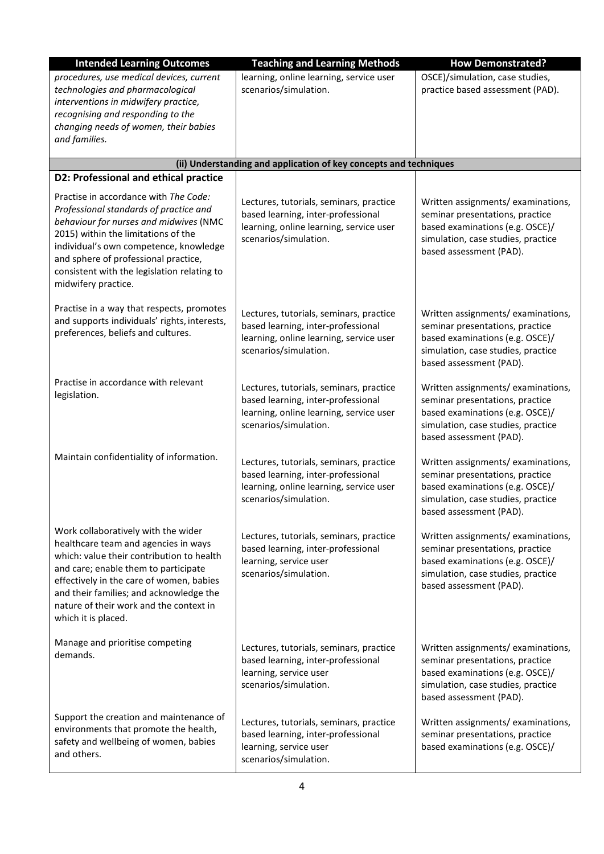| <b>Intended Learning Outcomes</b>                                                                                                                                                                                                                                                                                         | <b>Teaching and Learning Methods</b>                                                                                                              | <b>How Demonstrated?</b>                                                                                                                                                  |  |  |
|---------------------------------------------------------------------------------------------------------------------------------------------------------------------------------------------------------------------------------------------------------------------------------------------------------------------------|---------------------------------------------------------------------------------------------------------------------------------------------------|---------------------------------------------------------------------------------------------------------------------------------------------------------------------------|--|--|
| procedures, use medical devices, current<br>technologies and pharmacological<br>interventions in midwifery practice,<br>recognising and responding to the<br>changing needs of women, their babies<br>and families.                                                                                                       | learning, online learning, service user<br>scenarios/simulation.                                                                                  | OSCE)/simulation, case studies,<br>practice based assessment (PAD).                                                                                                       |  |  |
|                                                                                                                                                                                                                                                                                                                           | (ii) Understanding and application of key concepts and techniques                                                                                 |                                                                                                                                                                           |  |  |
| D2: Professional and ethical practice                                                                                                                                                                                                                                                                                     |                                                                                                                                                   |                                                                                                                                                                           |  |  |
| Practise in accordance with The Code:<br>Professional standards of practice and<br>behaviour for nurses and midwives (NMC<br>2015) within the limitations of the<br>individual's own competence, knowledge<br>and sphere of professional practice,<br>consistent with the legislation relating to<br>midwifery practice.  | Lectures, tutorials, seminars, practice<br>based learning, inter-professional<br>learning, online learning, service user<br>scenarios/simulation. | Written assignments/examinations,<br>seminar presentations, practice<br>based examinations (e.g. OSCE)/<br>simulation, case studies, practice<br>based assessment (PAD).  |  |  |
| Practise in a way that respects, promotes<br>and supports individuals' rights, interests,<br>preferences, beliefs and cultures.                                                                                                                                                                                           | Lectures, tutorials, seminars, practice<br>based learning, inter-professional<br>learning, online learning, service user<br>scenarios/simulation. | Written assignments/examinations,<br>seminar presentations, practice<br>based examinations (e.g. OSCE)/<br>simulation, case studies, practice<br>based assessment (PAD).  |  |  |
| Practise in accordance with relevant<br>legislation.                                                                                                                                                                                                                                                                      | Lectures, tutorials, seminars, practice<br>based learning, inter-professional<br>learning, online learning, service user<br>scenarios/simulation. | Written assignments/examinations,<br>seminar presentations, practice<br>based examinations (e.g. OSCE)/<br>simulation, case studies, practice<br>based assessment (PAD).  |  |  |
| Maintain confidentiality of information.                                                                                                                                                                                                                                                                                  | Lectures, tutorials, seminars, practice<br>based learning, inter-professional<br>learning, online learning, service user<br>scenarios/simulation. | Written assignments/ examinations,<br>seminar presentations, practice<br>based examinations (e.g. OSCE)/<br>simulation, case studies, practice<br>based assessment (PAD). |  |  |
| Work collaboratively with the wider<br>healthcare team and agencies in ways<br>which: value their contribution to health<br>and care; enable them to participate<br>effectively in the care of women, babies<br>and their families; and acknowledge the<br>nature of their work and the context in<br>which it is placed. | Lectures, tutorials, seminars, practice<br>based learning, inter-professional<br>learning, service user<br>scenarios/simulation.                  | Written assignments/examinations,<br>seminar presentations, practice<br>based examinations (e.g. OSCE)/<br>simulation, case studies, practice<br>based assessment (PAD).  |  |  |
| Manage and prioritise competing<br>demands.                                                                                                                                                                                                                                                                               | Lectures, tutorials, seminars, practice<br>based learning, inter-professional<br>learning, service user<br>scenarios/simulation.                  | Written assignments/examinations,<br>seminar presentations, practice<br>based examinations (e.g. OSCE)/<br>simulation, case studies, practice<br>based assessment (PAD).  |  |  |
| Support the creation and maintenance of<br>environments that promote the health,<br>safety and wellbeing of women, babies<br>and others.                                                                                                                                                                                  | Lectures, tutorials, seminars, practice<br>based learning, inter-professional<br>learning, service user<br>scenarios/simulation.                  | Written assignments/ examinations,<br>seminar presentations, practice<br>based examinations (e.g. OSCE)/                                                                  |  |  |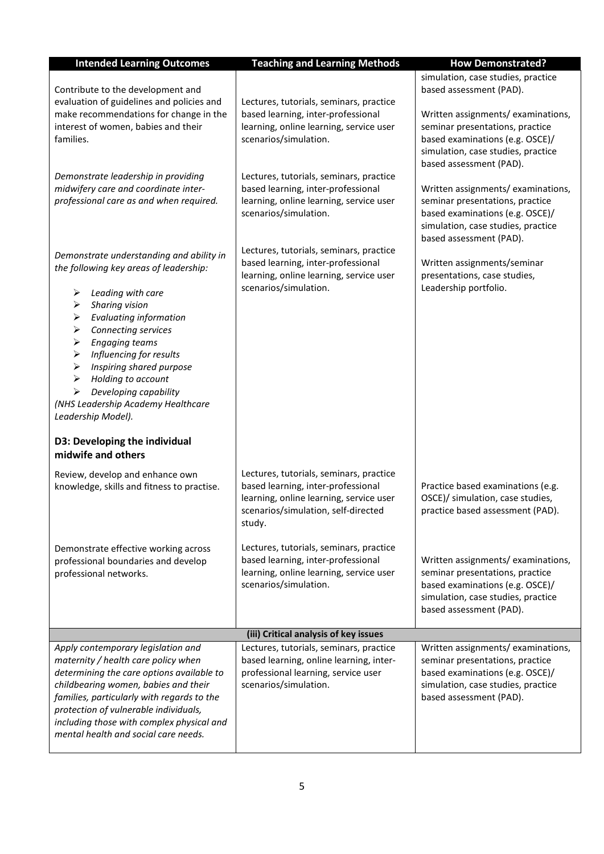| <b>Intended Learning Outcomes</b>                                                                                                                                                                                                                                                                                                                                                                                                                                                     | <b>Teaching and Learning Methods</b>                                                                                                                                      | <b>How Demonstrated?</b>                                                                                                                                                  |
|---------------------------------------------------------------------------------------------------------------------------------------------------------------------------------------------------------------------------------------------------------------------------------------------------------------------------------------------------------------------------------------------------------------------------------------------------------------------------------------|---------------------------------------------------------------------------------------------------------------------------------------------------------------------------|---------------------------------------------------------------------------------------------------------------------------------------------------------------------------|
| Contribute to the development and<br>evaluation of guidelines and policies and                                                                                                                                                                                                                                                                                                                                                                                                        | Lectures, tutorials, seminars, practice                                                                                                                                   | simulation, case studies, practice<br>based assessment (PAD).                                                                                                             |
| make recommendations for change in the<br>interest of women, babies and their<br>families.                                                                                                                                                                                                                                                                                                                                                                                            | based learning, inter-professional<br>learning, online learning, service user<br>scenarios/simulation.                                                                    | Written assignments/examinations,<br>seminar presentations, practice<br>based examinations (e.g. OSCE)/<br>simulation, case studies, practice<br>based assessment (PAD).  |
| Demonstrate leadership in providing<br>midwifery care and coordinate inter-<br>professional care as and when required.                                                                                                                                                                                                                                                                                                                                                                | Lectures, tutorials, seminars, practice<br>based learning, inter-professional<br>learning, online learning, service user<br>scenarios/simulation.                         | Written assignments/examinations,<br>seminar presentations, practice<br>based examinations (e.g. OSCE)/<br>simulation, case studies, practice<br>based assessment (PAD).  |
| Demonstrate understanding and ability in<br>the following key areas of leadership:<br>➤<br>Leading with care<br>➤<br>Sharing vision<br>$\blacktriangleright$<br><b>Evaluating information</b><br>➤<br>Connecting services<br>➤<br><b>Engaging teams</b><br>$\blacktriangleright$<br>Influencing for results<br>➤<br>Inspiring shared purpose<br>$\blacktriangleright$<br>Holding to account<br>Developing capability<br>➤<br>(NHS Leadership Academy Healthcare<br>Leadership Model). | Lectures, tutorials, seminars, practice<br>based learning, inter-professional<br>learning, online learning, service user<br>scenarios/simulation.                         | Written assignments/seminar<br>presentations, case studies,<br>Leadership portfolio.                                                                                      |
| D3: Developing the individual<br>midwife and others                                                                                                                                                                                                                                                                                                                                                                                                                                   |                                                                                                                                                                           |                                                                                                                                                                           |
| Review, develop and enhance own<br>knowledge, skills and fitness to practise.                                                                                                                                                                                                                                                                                                                                                                                                         | Lectures, tutorials, seminars, practice<br>based learning, inter-professional<br>learning, online learning, service user<br>scenarios/simulation, self-directed<br>study. | Practice based examinations (e.g.<br>OSCE)/ simulation, case studies,<br>practice based assessment (PAD).                                                                 |
| Demonstrate effective working across<br>professional boundaries and develop<br>professional networks.                                                                                                                                                                                                                                                                                                                                                                                 | Lectures, tutorials, seminars, practice<br>based learning, inter-professional<br>learning, online learning, service user<br>scenarios/simulation.                         | Written assignments/ examinations,<br>seminar presentations, practice<br>based examinations (e.g. OSCE)/<br>simulation, case studies, practice<br>based assessment (PAD). |
|                                                                                                                                                                                                                                                                                                                                                                                                                                                                                       | (iii) Critical analysis of key issues                                                                                                                                     |                                                                                                                                                                           |
| Apply contemporary legislation and<br>maternity / health care policy when<br>determining the care options available to<br>childbearing women, babies and their<br>families, particularly with regards to the<br>protection of vulnerable individuals,<br>including those with complex physical and<br>mental health and social care needs.                                                                                                                                            | Lectures, tutorials, seminars, practice<br>based learning, online learning, inter-<br>professional learning, service user<br>scenarios/simulation.                        | Written assignments/ examinations,<br>seminar presentations, practice<br>based examinations (e.g. OSCE)/<br>simulation, case studies, practice<br>based assessment (PAD). |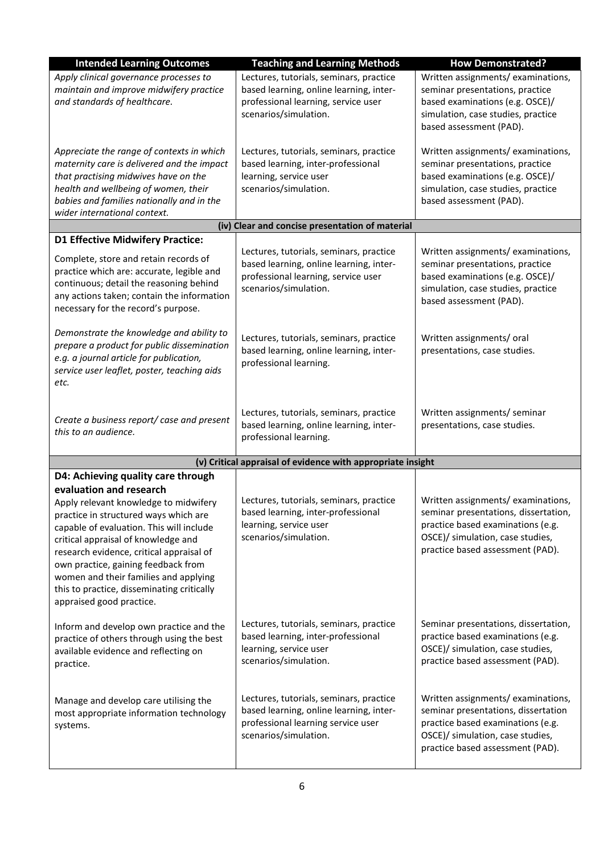| <b>Intended Learning Outcomes</b>                                                                                                                                                                                                                                                                                                                                                                                                        | <b>Teaching and Learning Methods</b>                                                                                                                                                                                                                                                                                                       | <b>How Demonstrated?</b>                                                                                                                                                               |  |  |  |  |  |  |  |  |
|------------------------------------------------------------------------------------------------------------------------------------------------------------------------------------------------------------------------------------------------------------------------------------------------------------------------------------------------------------------------------------------------------------------------------------------|--------------------------------------------------------------------------------------------------------------------------------------------------------------------------------------------------------------------------------------------------------------------------------------------------------------------------------------------|----------------------------------------------------------------------------------------------------------------------------------------------------------------------------------------|--|--|--|--|--|--|--|--|
| Apply clinical governance processes to<br>maintain and improve midwifery practice<br>and standards of healthcare.                                                                                                                                                                                                                                                                                                                        | Lectures, tutorials, seminars, practice<br>based learning, online learning, inter-<br>professional learning, service user<br>scenarios/simulation.                                                                                                                                                                                         | Written assignments/examinations,<br>seminar presentations, practice<br>based examinations (e.g. OSCE)/<br>simulation, case studies, practice<br>based assessment (PAD).               |  |  |  |  |  |  |  |  |
| Appreciate the range of contexts in which<br>maternity care is delivered and the impact<br>that practising midwives have on the<br>health and wellbeing of women, their<br>babies and families nationally and in the<br>wider international context.                                                                                                                                                                                     | Lectures, tutorials, seminars, practice<br>based learning, inter-professional<br>learning, service user<br>scenarios/simulation.                                                                                                                                                                                                           | Written assignments/examinations,<br>seminar presentations, practice<br>based examinations (e.g. OSCE)/<br>simulation, case studies, practice<br>based assessment (PAD).               |  |  |  |  |  |  |  |  |
| (iv) Clear and concise presentation of material                                                                                                                                                                                                                                                                                                                                                                                          |                                                                                                                                                                                                                                                                                                                                            |                                                                                                                                                                                        |  |  |  |  |  |  |  |  |
| <b>D1 Effective Midwifery Practice:</b>                                                                                                                                                                                                                                                                                                                                                                                                  |                                                                                                                                                                                                                                                                                                                                            |                                                                                                                                                                                        |  |  |  |  |  |  |  |  |
| Complete, store and retain records of<br>practice which are: accurate, legible and<br>continuous; detail the reasoning behind<br>any actions taken; contain the information<br>necessary for the record's purpose.                                                                                                                                                                                                                       | Lectures, tutorials, seminars, practice<br>based learning, online learning, inter-<br>professional learning, service user<br>scenarios/simulation.                                                                                                                                                                                         | Written assignments/examinations,<br>seminar presentations, practice<br>based examinations (e.g. OSCE)/<br>simulation, case studies, practice<br>based assessment (PAD).               |  |  |  |  |  |  |  |  |
| Demonstrate the knowledge and ability to<br>prepare a product for public dissemination<br>e.g. a journal article for publication,<br>service user leaflet, poster, teaching aids<br>etc.                                                                                                                                                                                                                                                 | Lectures, tutorials, seminars, practice<br>based learning, online learning, inter-<br>professional learning.                                                                                                                                                                                                                               | Written assignments/ oral<br>presentations, case studies.                                                                                                                              |  |  |  |  |  |  |  |  |
| Create a business report/ case and present<br>this to an audience.                                                                                                                                                                                                                                                                                                                                                                       | Lectures, tutorials, seminars, practice<br>based learning, online learning, inter-<br>professional learning.                                                                                                                                                                                                                               | Written assignments/ seminar<br>presentations, case studies.                                                                                                                           |  |  |  |  |  |  |  |  |
|                                                                                                                                                                                                                                                                                                                                                                                                                                          | (v) Critical appraisal of evidence with appropriate insight                                                                                                                                                                                                                                                                                |                                                                                                                                                                                        |  |  |  |  |  |  |  |  |
| D4: Achieving quality care through<br>evaluation and research<br>Apply relevant knowledge to midwifery<br>practice in structured ways which are<br>capable of evaluation. This will include<br>critical appraisal of knowledge and<br>research evidence, critical appraisal of<br>own practice, gaining feedback from<br>women and their families and applying<br>this to practice, disseminating critically<br>appraised good practice. | Lectures, tutorials, seminars, practice<br>based learning, inter-professional<br>learning, service user<br>scenarios/simulation.                                                                                                                                                                                                           | Written assignments/examinations,<br>seminar presentations, dissertation,<br>practice based examinations (e.g.<br>OSCE)/ simulation, case studies,<br>practice based assessment (PAD). |  |  |  |  |  |  |  |  |
| Inform and develop own practice and the<br>practice of others through using the best<br>available evidence and reflecting on<br>practice.                                                                                                                                                                                                                                                                                                | Lectures, tutorials, seminars, practice<br>based learning, inter-professional<br>learning, service user<br>scenarios/simulation.                                                                                                                                                                                                           | Seminar presentations, dissertation,<br>practice based examinations (e.g.<br>OSCE)/ simulation, case studies,<br>practice based assessment (PAD).                                      |  |  |  |  |  |  |  |  |
| Manage and develop care utilising the<br>most appropriate information technology<br>systems.                                                                                                                                                                                                                                                                                                                                             | Written assignments/examinations,<br>Lectures, tutorials, seminars, practice<br>based learning, online learning, inter-<br>seminar presentations, dissertation<br>professional learning service user<br>practice based examinations (e.g.<br>scenarios/simulation.<br>OSCE)/ simulation, case studies,<br>practice based assessment (PAD). |                                                                                                                                                                                        |  |  |  |  |  |  |  |  |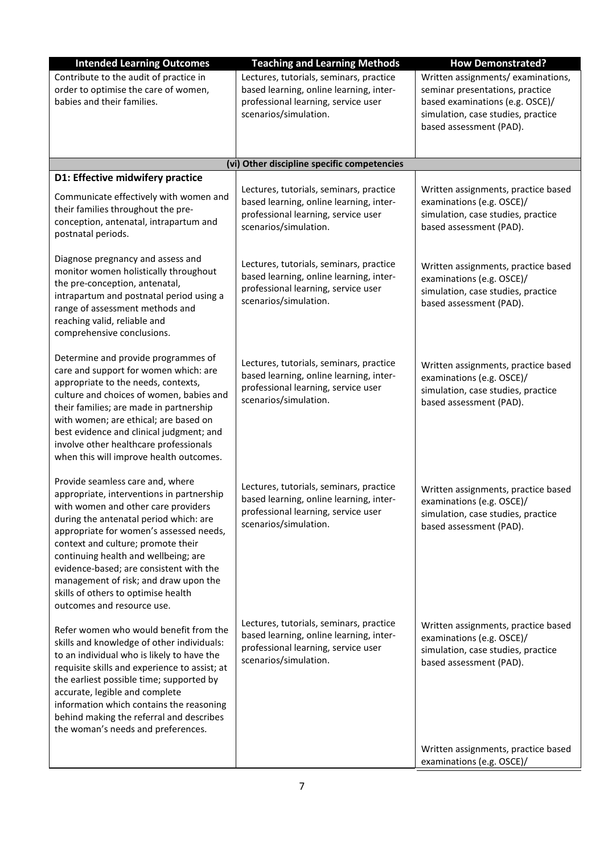| <b>Intended Learning Outcomes</b>                                                                                                                                                                                                                                                                                                                                                                                                                | <b>Teaching and Learning Methods</b>                                                                                                               | <b>How Demonstrated?</b>                                                                                                                                                  |
|--------------------------------------------------------------------------------------------------------------------------------------------------------------------------------------------------------------------------------------------------------------------------------------------------------------------------------------------------------------------------------------------------------------------------------------------------|----------------------------------------------------------------------------------------------------------------------------------------------------|---------------------------------------------------------------------------------------------------------------------------------------------------------------------------|
| Contribute to the audit of practice in<br>order to optimise the care of women,<br>babies and their families.                                                                                                                                                                                                                                                                                                                                     | Lectures, tutorials, seminars, practice<br>based learning, online learning, inter-<br>professional learning, service user<br>scenarios/simulation. | Written assignments/ examinations,<br>seminar presentations, practice<br>based examinations (e.g. OSCE)/<br>simulation, case studies, practice<br>based assessment (PAD). |
|                                                                                                                                                                                                                                                                                                                                                                                                                                                  | (vi) Other discipline specific competencies                                                                                                        |                                                                                                                                                                           |
| D1: Effective midwifery practice<br>Communicate effectively with women and<br>their families throughout the pre-<br>conception, antenatal, intrapartum and<br>postnatal periods.                                                                                                                                                                                                                                                                 | Lectures, tutorials, seminars, practice<br>based learning, online learning, inter-<br>professional learning, service user<br>scenarios/simulation. | Written assignments, practice based<br>examinations (e.g. OSCE)/<br>simulation, case studies, practice<br>based assessment (PAD).                                         |
| Diagnose pregnancy and assess and<br>monitor women holistically throughout<br>the pre-conception, antenatal,<br>intrapartum and postnatal period using a<br>range of assessment methods and<br>reaching valid, reliable and<br>comprehensive conclusions.                                                                                                                                                                                        | Lectures, tutorials, seminars, practice<br>based learning, online learning, inter-<br>professional learning, service user<br>scenarios/simulation. | Written assignments, practice based<br>examinations (e.g. OSCE)/<br>simulation, case studies, practice<br>based assessment (PAD).                                         |
| Determine and provide programmes of<br>care and support for women which: are<br>appropriate to the needs, contexts,<br>culture and choices of women, babies and<br>their families; are made in partnership<br>with women; are ethical; are based on<br>best evidence and clinical judgment; and<br>involve other healthcare professionals<br>when this will improve health outcomes.                                                             | Lectures, tutorials, seminars, practice<br>based learning, online learning, inter-<br>professional learning, service user<br>scenarios/simulation. | Written assignments, practice based<br>examinations (e.g. OSCE)/<br>simulation, case studies, practice<br>based assessment (PAD).                                         |
| Provide seamless care and, where<br>appropriate, interventions in partnership<br>with women and other care providers<br>during the antenatal period which: are<br>appropriate for women's assessed needs,<br>context and culture; promote their<br>continuing health and wellbeing; are<br>evidence-based; are consistent with the<br>management of risk; and draw upon the<br>skills of others to optimise health<br>outcomes and resource use. | Lectures, tutorials, seminars, practice<br>based learning, online learning, inter-<br>professional learning, service user<br>scenarios/simulation. | Written assignments, practice based<br>examinations (e.g. OSCE)/<br>simulation, case studies, practice<br>based assessment (PAD).                                         |
| Refer women who would benefit from the<br>skills and knowledge of other individuals:<br>to an individual who is likely to have the<br>requisite skills and experience to assist; at<br>the earliest possible time; supported by<br>accurate, legible and complete<br>information which contains the reasoning<br>behind making the referral and describes<br>the woman's needs and preferences.                                                  | Lectures, tutorials, seminars, practice<br>based learning, online learning, inter-<br>professional learning, service user<br>scenarios/simulation. | Written assignments, practice based<br>examinations (e.g. OSCE)/<br>simulation, case studies, practice<br>based assessment (PAD).<br>Written assignments, practice based  |
|                                                                                                                                                                                                                                                                                                                                                                                                                                                  |                                                                                                                                                    | examinations (e.g. OSCE)/                                                                                                                                                 |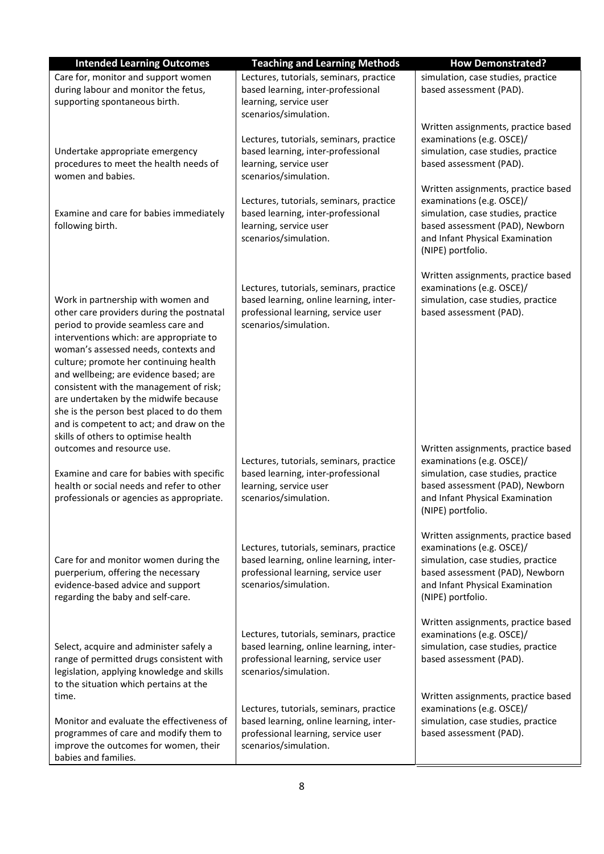| <b>Intended Learning Outcomes</b>                                                                                                                                                                                                                                                                                                                                                                                                                                                                                | <b>Teaching and Learning Methods</b>                                                                                                                                                                                                                                 | <b>How Demonstrated?</b>                                                                                                                                                                                                                                                                                                               |
|------------------------------------------------------------------------------------------------------------------------------------------------------------------------------------------------------------------------------------------------------------------------------------------------------------------------------------------------------------------------------------------------------------------------------------------------------------------------------------------------------------------|----------------------------------------------------------------------------------------------------------------------------------------------------------------------------------------------------------------------------------------------------------------------|----------------------------------------------------------------------------------------------------------------------------------------------------------------------------------------------------------------------------------------------------------------------------------------------------------------------------------------|
| Care for, monitor and support women<br>during labour and monitor the fetus,<br>supporting spontaneous birth.                                                                                                                                                                                                                                                                                                                                                                                                     | Lectures, tutorials, seminars, practice<br>based learning, inter-professional<br>learning, service user<br>scenarios/simulation.                                                                                                                                     | simulation, case studies, practice<br>based assessment (PAD).                                                                                                                                                                                                                                                                          |
| Undertake appropriate emergency<br>procedures to meet the health needs of<br>women and babies.<br>Examine and care for babies immediately<br>following birth.                                                                                                                                                                                                                                                                                                                                                    | Lectures, tutorials, seminars, practice<br>based learning, inter-professional<br>learning, service user<br>scenarios/simulation.<br>Lectures, tutorials, seminars, practice<br>based learning, inter-professional<br>learning, service user<br>scenarios/simulation. | Written assignments, practice based<br>examinations (e.g. OSCE)/<br>simulation, case studies, practice<br>based assessment (PAD).<br>Written assignments, practice based<br>examinations (e.g. OSCE)/<br>simulation, case studies, practice<br>based assessment (PAD), Newborn<br>and Infant Physical Examination<br>(NIPE) portfolio. |
| Work in partnership with women and<br>other care providers during the postnatal<br>period to provide seamless care and<br>interventions which: are appropriate to<br>woman's assessed needs, contexts and<br>culture; promote her continuing health<br>and wellbeing; are evidence based; are<br>consistent with the management of risk;<br>are undertaken by the midwife because<br>she is the person best placed to do them<br>and is competent to act; and draw on the<br>skills of others to optimise health | Lectures, tutorials, seminars, practice<br>based learning, online learning, inter-<br>professional learning, service user<br>scenarios/simulation.                                                                                                                   | Written assignments, practice based<br>examinations (e.g. OSCE)/<br>simulation, case studies, practice<br>based assessment (PAD).                                                                                                                                                                                                      |
| outcomes and resource use.<br>Examine and care for babies with specific<br>health or social needs and refer to other<br>professionals or agencies as appropriate.                                                                                                                                                                                                                                                                                                                                                | Lectures, tutorials, seminars, practice<br>based learning, inter-professional<br>learning, service user<br>scenarios/simulation.                                                                                                                                     | Written assignments, practice based<br>examinations (e.g. OSCE)/<br>simulation, case studies, practice<br>based assessment (PAD), Newborn<br>and Infant Physical Examination<br>(NIPE) portfolio.                                                                                                                                      |
| Care for and monitor women during the<br>puerperium, offering the necessary<br>evidence-based advice and support<br>regarding the baby and self-care.                                                                                                                                                                                                                                                                                                                                                            | Lectures, tutorials, seminars, practice<br>based learning, online learning, inter-<br>professional learning, service user<br>scenarios/simulation.                                                                                                                   | Written assignments, practice based<br>examinations (e.g. OSCE)/<br>simulation, case studies, practice<br>based assessment (PAD), Newborn<br>and Infant Physical Examination<br>(NIPE) portfolio.                                                                                                                                      |
| Select, acquire and administer safely a<br>range of permitted drugs consistent with<br>legislation, applying knowledge and skills<br>to the situation which pertains at the                                                                                                                                                                                                                                                                                                                                      | Lectures, tutorials, seminars, practice<br>based learning, online learning, inter-<br>professional learning, service user<br>scenarios/simulation.                                                                                                                   | Written assignments, practice based<br>examinations (e.g. OSCE)/<br>simulation, case studies, practice<br>based assessment (PAD).                                                                                                                                                                                                      |
| time.<br>Monitor and evaluate the effectiveness of<br>programmes of care and modify them to<br>improve the outcomes for women, their<br>babies and families.                                                                                                                                                                                                                                                                                                                                                     | Lectures, tutorials, seminars, practice<br>based learning, online learning, inter-<br>professional learning, service user<br>scenarios/simulation.                                                                                                                   | Written assignments, practice based<br>examinations (e.g. OSCE)/<br>simulation, case studies, practice<br>based assessment (PAD).                                                                                                                                                                                                      |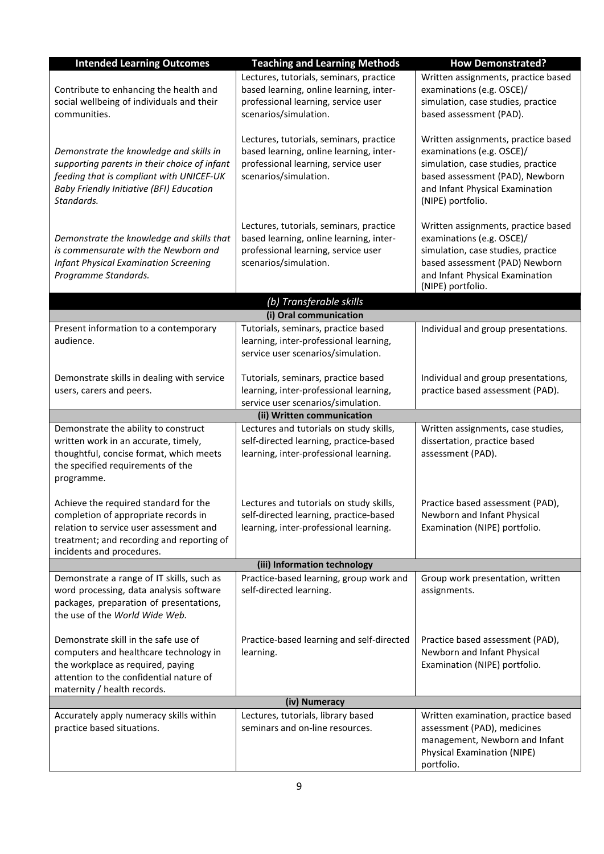| <b>Intended Learning Outcomes</b>                                                                                                                                                                  | <b>Teaching and Learning Methods</b>                                                                                                               | <b>How Demonstrated?</b>                                                                                                                                                                          |  |  |
|----------------------------------------------------------------------------------------------------------------------------------------------------------------------------------------------------|----------------------------------------------------------------------------------------------------------------------------------------------------|---------------------------------------------------------------------------------------------------------------------------------------------------------------------------------------------------|--|--|
| Contribute to enhancing the health and<br>social wellbeing of individuals and their<br>communities.                                                                                                | Lectures, tutorials, seminars, practice<br>based learning, online learning, inter-<br>professional learning, service user<br>scenarios/simulation. | Written assignments, practice based<br>examinations (e.g. OSCE)/<br>simulation, case studies, practice<br>based assessment (PAD).                                                                 |  |  |
| Demonstrate the knowledge and skills in<br>supporting parents in their choice of infant<br>feeding that is compliant with UNICEF-UK<br>Baby Friendly Initiative (BFI) Education<br>Standards.      | Lectures, tutorials, seminars, practice<br>based learning, online learning, inter-<br>professional learning, service user<br>scenarios/simulation. | Written assignments, practice based<br>examinations (e.g. OSCE)/<br>simulation, case studies, practice<br>based assessment (PAD), Newborn<br>and Infant Physical Examination<br>(NIPE) portfolio. |  |  |
| Demonstrate the knowledge and skills that<br>is commensurate with the Newborn and<br><b>Infant Physical Examination Screening</b><br>Programme Standards.                                          | Lectures, tutorials, seminars, practice<br>based learning, online learning, inter-<br>professional learning, service user<br>scenarios/simulation. | Written assignments, practice based<br>examinations (e.g. OSCE)/<br>simulation, case studies, practice<br>based assessment (PAD) Newborn<br>and Infant Physical Examination<br>(NIPE) portfolio.  |  |  |
|                                                                                                                                                                                                    | (b) Transferable skills                                                                                                                            |                                                                                                                                                                                                   |  |  |
| Present information to a contemporary<br>audience.                                                                                                                                                 | (i) Oral communication<br>Tutorials, seminars, practice based<br>learning, inter-professional learning,<br>service user scenarios/simulation.      | Individual and group presentations.                                                                                                                                                               |  |  |
| Demonstrate skills in dealing with service<br>users, carers and peers.                                                                                                                             | Tutorials, seminars, practice based<br>learning, inter-professional learning,<br>service user scenarios/simulation.                                | Individual and group presentations,<br>practice based assessment (PAD).                                                                                                                           |  |  |
|                                                                                                                                                                                                    | (ii) Written communication                                                                                                                         |                                                                                                                                                                                                   |  |  |
| Demonstrate the ability to construct<br>written work in an accurate, timely,<br>thoughtful, concise format, which meets<br>the specified requirements of the<br>programme.                         | Lectures and tutorials on study skills,<br>self-directed learning, practice-based<br>learning, inter-professional learning.                        | Written assignments, case studies,<br>dissertation, practice based<br>assessment (PAD).                                                                                                           |  |  |
| Achieve the required standard for the<br>completion of appropriate records in<br>relation to service user assessment and<br>treatment; and recording and reporting of<br>incidents and procedures. | Lectures and tutorials on study skills,<br>self-directed learning, practice-based<br>learning, inter-professional learning.                        | Practice based assessment (PAD),<br>Newborn and Infant Physical<br>Examination (NIPE) portfolio.                                                                                                  |  |  |
|                                                                                                                                                                                                    | (iii) Information technology                                                                                                                       |                                                                                                                                                                                                   |  |  |
| Demonstrate a range of IT skills, such as<br>word processing, data analysis software<br>packages, preparation of presentations,<br>the use of the World Wide Web.                                  | Practice-based learning, group work and<br>self-directed learning.                                                                                 | Group work presentation, written<br>assignments.                                                                                                                                                  |  |  |
| Demonstrate skill in the safe use of<br>computers and healthcare technology in<br>the workplace as required, paying<br>attention to the confidential nature of<br>maternity / health records.      | Practice-based learning and self-directed<br>learning.                                                                                             | Practice based assessment (PAD),<br>Newborn and Infant Physical<br>Examination (NIPE) portfolio.                                                                                                  |  |  |
|                                                                                                                                                                                                    | (iv) Numeracy                                                                                                                                      |                                                                                                                                                                                                   |  |  |
| Accurately apply numeracy skills within<br>practice based situations.                                                                                                                              | Lectures, tutorials, library based<br>seminars and on-line resources.                                                                              | Written examination, practice based<br>assessment (PAD), medicines<br>management, Newborn and Infant<br><b>Physical Examination (NIPE)</b><br>portfolio.                                          |  |  |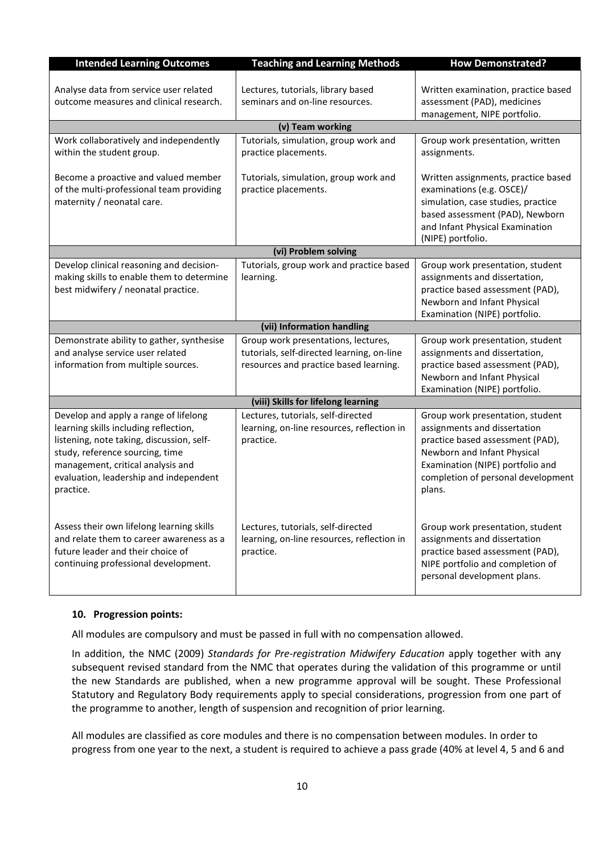| <b>Intended Learning Outcomes</b>                                                                                                                                                                                                                          | <b>Teaching and Learning Methods</b>                                                                                        | <b>How Demonstrated?</b>                                                                                                                                                                                                |
|------------------------------------------------------------------------------------------------------------------------------------------------------------------------------------------------------------------------------------------------------------|-----------------------------------------------------------------------------------------------------------------------------|-------------------------------------------------------------------------------------------------------------------------------------------------------------------------------------------------------------------------|
| Analyse data from service user related<br>outcome measures and clinical research.                                                                                                                                                                          | Lectures, tutorials, library based<br>seminars and on-line resources.                                                       | Written examination, practice based<br>assessment (PAD), medicines<br>management, NIPE portfolio.                                                                                                                       |
|                                                                                                                                                                                                                                                            | (v) Team working                                                                                                            |                                                                                                                                                                                                                         |
| Work collaboratively and independently<br>within the student group.                                                                                                                                                                                        | Tutorials, simulation, group work and<br>practice placements.                                                               | Group work presentation, written<br>assignments.                                                                                                                                                                        |
| Become a proactive and valued member<br>of the multi-professional team providing<br>maternity / neonatal care.                                                                                                                                             | Tutorials, simulation, group work and<br>practice placements.                                                               | Written assignments, practice based<br>examinations (e.g. OSCE)/<br>simulation, case studies, practice<br>based assessment (PAD), Newborn<br>and Infant Physical Examination<br>(NIPE) portfolio.                       |
|                                                                                                                                                                                                                                                            | (vi) Problem solving                                                                                                        |                                                                                                                                                                                                                         |
| Develop clinical reasoning and decision-<br>making skills to enable them to determine<br>best midwifery / neonatal practice.                                                                                                                               | Tutorials, group work and practice based<br>learning.                                                                       | Group work presentation, student<br>assignments and dissertation,<br>practice based assessment (PAD),<br>Newborn and Infant Physical<br>Examination (NIPE) portfolio.                                                   |
|                                                                                                                                                                                                                                                            | (vii) Information handling                                                                                                  |                                                                                                                                                                                                                         |
| Demonstrate ability to gather, synthesise<br>and analyse service user related<br>information from multiple sources.                                                                                                                                        | Group work presentations, lectures,<br>tutorials, self-directed learning, on-line<br>resources and practice based learning. | Group work presentation, student<br>assignments and dissertation,<br>practice based assessment (PAD),<br>Newborn and Infant Physical<br>Examination (NIPE) portfolio.                                                   |
|                                                                                                                                                                                                                                                            | (viii) Skills for lifelong learning                                                                                         |                                                                                                                                                                                                                         |
| Develop and apply a range of lifelong<br>learning skills including reflection,<br>listening, note taking, discussion, self-<br>study, reference sourcing, time<br>management, critical analysis and<br>evaluation, leadership and independent<br>practice. | Lectures, tutorials, self-directed<br>learning, on-line resources, reflection in<br>practice.                               | Group work presentation, student<br>assignments and dissertation<br>practice based assessment (PAD),<br>Newborn and Infant Physical<br>Examination (NIPE) portfolio and<br>completion of personal development<br>plans. |
| Assess their own lifelong learning skills<br>and relate them to career awareness as a<br>future leader and their choice of<br>continuing professional development.                                                                                         | Lectures, tutorials, self-directed<br>learning, on-line resources, reflection in<br>practice.                               | Group work presentation, student<br>assignments and dissertation<br>practice based assessment (PAD),<br>NIPE portfolio and completion of<br>personal development plans.                                                 |

### **10. Progression points:**

All modules are compulsory and must be passed in full with no compensation allowed.

In addition, the NMC (2009) *Standards for Pre-registration Midwifery Education* apply together with any subsequent revised standard from the NMC that operates during the validation of this programme or until the new Standards are published, when a new programme approval will be sought. These Professional Statutory and Regulatory Body requirements apply to special considerations, progression from one part of the programme to another, length of suspension and recognition of prior learning.

All modules are classified as core modules and there is no compensation between modules. In order to progress from one year to the next, a student is required to achieve a pass grade (40% at level 4, 5 and 6 and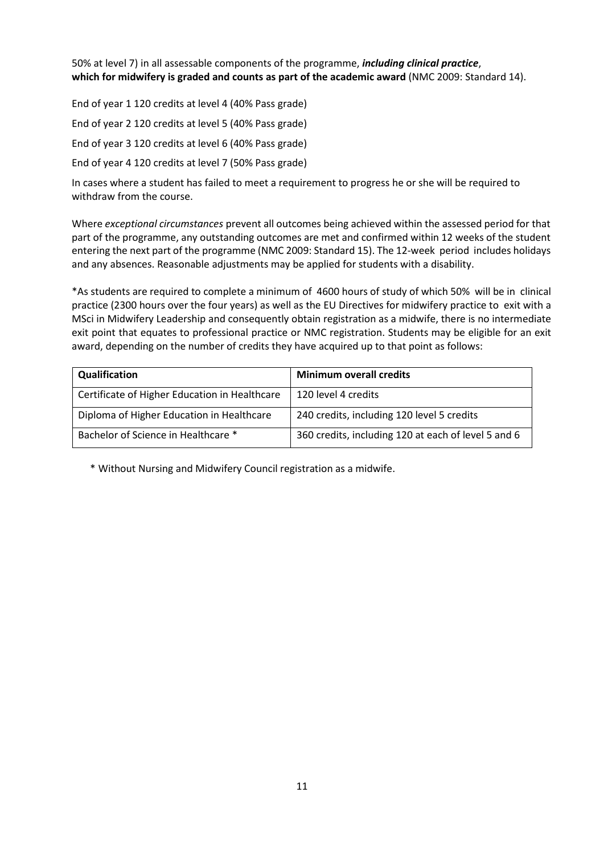50% at level 7) in all assessable components of the programme, *including clinical practice*, **which for midwifery is graded and counts as part of the academic award** (NMC 2009: Standard 14).

End of year 1 120 credits at level 4 (40% Pass grade) End of year 2 120 credits at level 5 (40% Pass grade) End of year 3 120 credits at level 6 (40% Pass grade) End of year 4 120 credits at level 7 (50% Pass grade)

In cases where a student has failed to meet a requirement to progress he or she will be required to withdraw from the course.

Where *exceptional circumstances* prevent all outcomes being achieved within the assessed period for that part of the programme, any outstanding outcomes are met and confirmed within 12 weeks of the student entering the next part of the programme (NMC 2009: Standard 15). The 12-week period includes holidays and any absences. Reasonable adjustments may be applied for students with a disability.

\*As students are required to complete a minimum of 4600 hours of study of which 50% will be in clinical practice (2300 hours over the four years) as well as the EU Directives for midwifery practice to exit with a MSci in Midwifery Leadership and consequently obtain registration as a midwife, there is no intermediate exit point that equates to professional practice or NMC registration. Students may be eligible for an exit award, depending on the number of credits they have acquired up to that point as follows:

| Qualification                                 | <b>Minimum overall credits</b>                      |
|-----------------------------------------------|-----------------------------------------------------|
| Certificate of Higher Education in Healthcare | 120 level 4 credits                                 |
| Diploma of Higher Education in Healthcare     | 240 credits, including 120 level 5 credits          |
| Bachelor of Science in Healthcare *           | 360 credits, including 120 at each of level 5 and 6 |

\* Without Nursing and Midwifery Council registration as a midwife.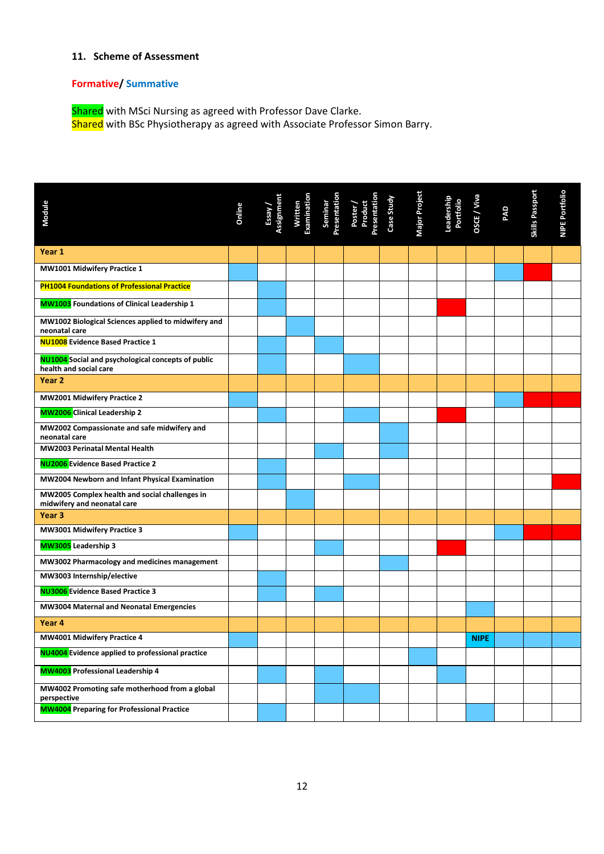## **11. Scheme of Assessment**

### **Formative/ Summative**

Shared with MSci Nursing as agreed with Professor Dave Clarke. Shared with BSc Physiotherapy as agreed with Associate Professor Simon Barry.

| Module                                                                              | Online | Essay /<br>Assignment | Written<br>Examination | Seminar<br>Presentation | Poster /<br>Product<br>Presentation<br>Case Study | Major Project | Leadership<br>Portfolio | OSCE / Viva | PAD | Skills Passport | NIPE Portfolio |
|-------------------------------------------------------------------------------------|--------|-----------------------|------------------------|-------------------------|---------------------------------------------------|---------------|-------------------------|-------------|-----|-----------------|----------------|
| Year 1                                                                              |        |                       |                        |                         |                                                   |               |                         |             |     |                 |                |
| MW1001 Midwifery Practice 1                                                         |        |                       |                        |                         |                                                   |               |                         |             |     |                 |                |
| <b>PH1004 Foundations of Professional Practice</b>                                  |        |                       |                        |                         |                                                   |               |                         |             |     |                 |                |
| <b>MW1003</b> Foundations of Clinical Leadership 1                                  |        |                       |                        |                         |                                                   |               |                         |             |     |                 |                |
| MW1002 Biological Sciences applied to midwifery and<br>neonatal care                |        |                       |                        |                         |                                                   |               |                         |             |     |                 |                |
| <b>NU1008</b> Evidence Based Practice 1                                             |        |                       |                        |                         |                                                   |               |                         |             |     |                 |                |
| <b>NU1004</b> Social and psychological concepts of public<br>health and social care |        |                       |                        |                         |                                                   |               |                         |             |     |                 |                |
| Year 2                                                                              |        |                       |                        |                         |                                                   |               |                         |             |     |                 |                |
| MW2001 Midwifery Practice 2                                                         |        |                       |                        |                         |                                                   |               |                         |             |     |                 |                |
| <b>MW2006</b> Clinical Leadership 2                                                 |        |                       |                        |                         |                                                   |               |                         |             |     |                 |                |
| MW2002 Compassionate and safe midwifery and<br>neonatal care                        |        |                       |                        |                         |                                                   |               |                         |             |     |                 |                |
| MW2003 Perinatal Mental Health                                                      |        |                       |                        |                         |                                                   |               |                         |             |     |                 |                |
| <b>NU2006</b> Evidence Based Practice 2                                             |        |                       |                        |                         |                                                   |               |                         |             |     |                 |                |
| MW2004 Newborn and Infant Physical Examination                                      |        |                       |                        |                         |                                                   |               |                         |             |     |                 |                |
| MW2005 Complex health and social challenges in<br>midwifery and neonatal care       |        |                       |                        |                         |                                                   |               |                         |             |     |                 |                |
| Year <sub>3</sub>                                                                   |        |                       |                        |                         |                                                   |               |                         |             |     |                 |                |
| MW3001 Midwifery Practice 3                                                         |        |                       |                        |                         |                                                   |               |                         |             |     |                 |                |
| MW3005 Leadership 3                                                                 |        |                       |                        |                         |                                                   |               |                         |             |     |                 |                |
| MW3002 Pharmacology and medicines management                                        |        |                       |                        |                         |                                                   |               |                         |             |     |                 |                |
| MW3003 Internship/elective                                                          |        |                       |                        |                         |                                                   |               |                         |             |     |                 |                |
| <b>NU3006</b> Evidence Based Practice 3                                             |        |                       |                        |                         |                                                   |               |                         |             |     |                 |                |
| MW3004 Maternal and Neonatal Emergencies                                            |        |                       |                        |                         |                                                   |               |                         |             |     |                 |                |
| Year <sub>4</sub>                                                                   |        |                       |                        |                         |                                                   |               |                         |             |     |                 |                |
| MW4001 Midwifery Practice 4                                                         |        |                       |                        |                         |                                                   |               |                         | <b>NIPE</b> |     |                 |                |
| <b>NU4004</b> Evidence applied to professional practice                             |        |                       |                        |                         |                                                   |               |                         |             |     |                 |                |
| MW4003 Professional Leadership 4                                                    |        |                       |                        |                         |                                                   |               |                         |             |     |                 |                |
| MW4002 Promoting safe motherhood from a global<br>perspective                       |        |                       |                        |                         |                                                   |               |                         |             |     |                 |                |
| <b>MW4004</b> Preparing for Professional Practice                                   |        |                       |                        |                         |                                                   |               |                         |             |     |                 |                |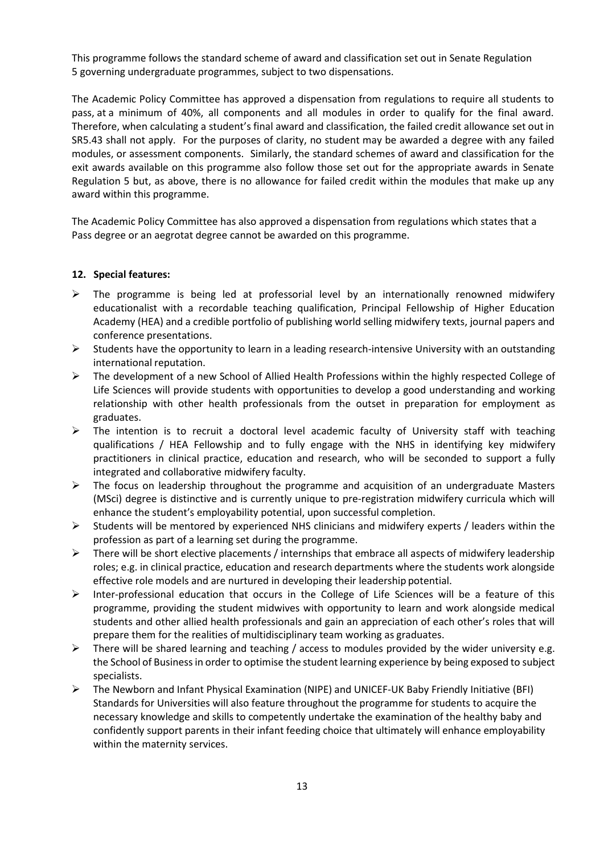This programme follows the standard scheme of award and classification set out in Senate Regulation 5 governing undergraduate programmes, subject to two dispensations.

The Academic Policy Committee has approved a dispensation from regulations to require all students to pass, at a minimum of 40%, all components and all modules in order to qualify for the final award. Therefore, when calculating a student's final award and classification, the failed credit allowance set out in SR5.43 shall not apply. For the purposes of clarity, no student may be awarded a degree with any failed modules, or assessment components. Similarly, the standard schemes of award and classification for the exit awards available on this programme also follow those set out for the appropriate awards in Senate Regulation 5 but, as above, there is no allowance for failed credit within the modules that make up any award within this programme.

The Academic Policy Committee has also approved a dispensation from regulations which states that a Pass degree or an aegrotat degree cannot be awarded on this programme.

### **12. Special features:**

- $\triangleright$  The programme is being led at professorial level by an internationally renowned midwifery educationalist with a recordable teaching qualification, Principal Fellowship of Higher Education Academy (HEA) and a credible portfolio of publishing world selling midwifery texts, journal papers and conference presentations.
- $\triangleright$  Students have the opportunity to learn in a leading research-intensive University with an outstanding international reputation.
- ▶ The development of a new School of Allied Health Professions within the highly respected College of Life Sciences will provide students with opportunities to develop a good understanding and working relationship with other health professionals from the outset in preparation for employment as graduates.
- $\triangleright$  The intention is to recruit a doctoral level academic faculty of University staff with teaching qualifications / HEA Fellowship and to fully engage with the NHS in identifying key midwifery practitioners in clinical practice, education and research, who will be seconded to support a fully integrated and collaborative midwifery faculty.
- $\triangleright$  The focus on leadership throughout the programme and acquisition of an undergraduate Masters (MSci) degree is distinctive and is currently unique to pre-registration midwifery curricula which will enhance the student's employability potential, upon successful completion.
- $\triangleright$  Students will be mentored by experienced NHS clinicians and midwifery experts / leaders within the profession as part of a learning set during the programme.
- $\triangleright$  There will be short elective placements / internships that embrace all aspects of midwifery leadership roles; e.g. in clinical practice, education and research departments where the students work alongside effective role models and are nurtured in developing their leadership potential.
- Inter-professional education that occurs in the College of Life Sciences will be a feature of this programme, providing the student midwives with opportunity to learn and work alongside medical students and other allied health professionals and gain an appreciation of each other's roles that will prepare them for the realities of multidisciplinary team working as graduates.
- $\triangleright$  There will be shared learning and teaching / access to modules provided by the wider university e.g. the School of Businessin order to optimise the student learning experience by being exposed to subject specialists.
- The Newborn and Infant Physical Examination (NIPE) and UNICEF-UK Baby Friendly Initiative (BFI) Standards for Universities will also feature throughout the programme for students to acquire the necessary knowledge and skills to competently undertake the examination of the healthy baby and confidently support parents in their infant feeding choice that ultimately will enhance employability within the maternity services.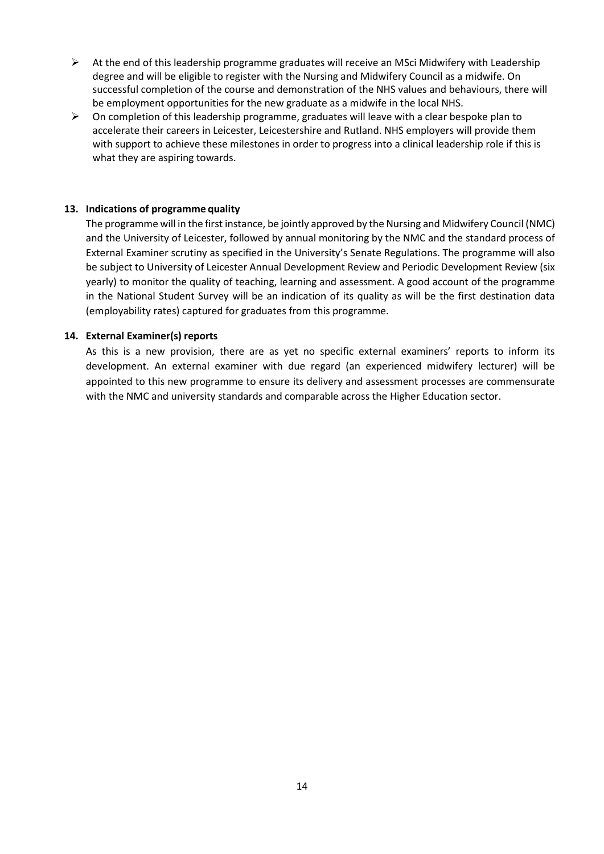- $\triangleright$  At the end of this leadership programme graduates will receive an MSci Midwifery with Leadership degree and will be eligible to register with the Nursing and Midwifery Council as a midwife. On successful completion of the course and demonstration of the NHS values and behaviours, there will be employment opportunities for the new graduate as a midwife in the local NHS.
- $\triangleright$  On completion of this leadership programme, graduates will leave with a clear bespoke plan to accelerate their careers in Leicester, Leicestershire and Rutland. NHS employers will provide them with support to achieve these milestones in order to progress into a clinical leadership role if this is what they are aspiring towards.

### **13. Indications of programme quality**

The programme will in the first instance, be jointly approved by the Nursing and Midwifery Council (NMC) and the University of Leicester, followed by annual monitoring by the NMC and the standard process of External Examiner scrutiny as specified in the University's Senate Regulations. The programme will also be subject to University of Leicester Annual Development Review and Periodic Development Review (six yearly) to monitor the quality of teaching, learning and assessment. A good account of the programme in the National Student Survey will be an indication of its quality as will be the first destination data (employability rates) captured for graduates from this programme.

#### **14. External Examiner(s) reports**

As this is a new provision, there are as yet no specific external examiners' reports to inform its development. An external examiner with due regard (an experienced midwifery lecturer) will be appointed to this new programme to ensure its delivery and assessment processes are commensurate with the NMC and university standards and comparable across the Higher Education sector.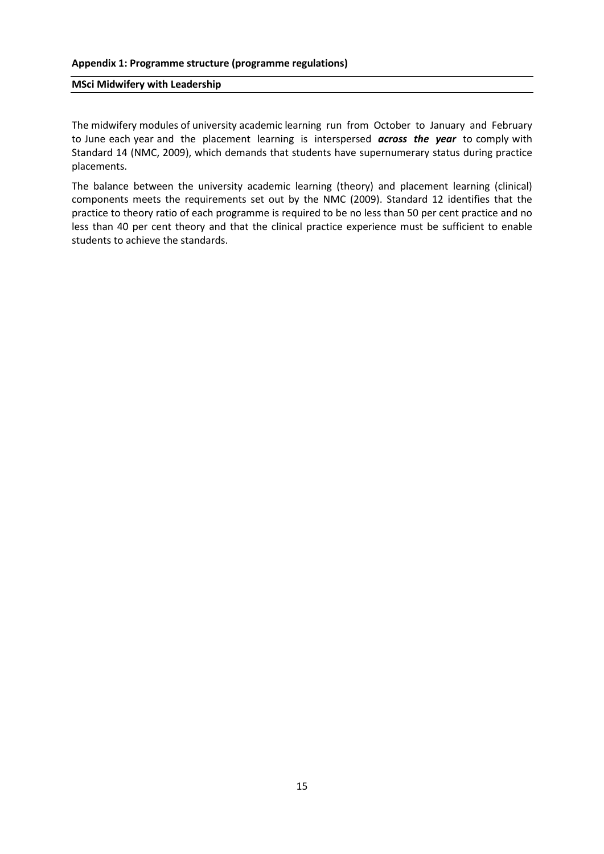#### **MSci Midwifery with Leadership**

The midwifery modules of university academic learning run from October to January and February to June each year and the placement learning is interspersed *across the year* to comply with Standard 14 (NMC, 2009), which demands that students have supernumerary status during practice placements.

The balance between the university academic learning (theory) and placement learning (clinical) components meets the requirements set out by the NMC (2009). Standard 12 identifies that the practice to theory ratio of each programme is required to be no less than 50 per cent practice and no less than 40 per cent theory and that the clinical practice experience must be sufficient to enable students to achieve the standards.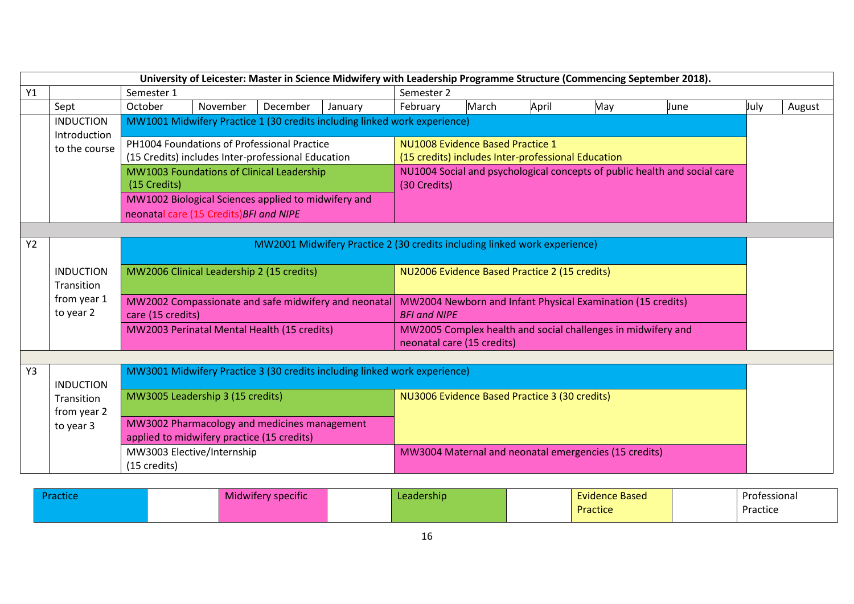| University of Leicester: Master in Science Midwifery with Leadership Programme Structure (Commencing September 2018). |                                  |                                                                                                                                                                 |                                                                                                   |                                               |                                               |          |                                                                                        |       |     |      |      |        |
|-----------------------------------------------------------------------------------------------------------------------|----------------------------------|-----------------------------------------------------------------------------------------------------------------------------------------------------------------|---------------------------------------------------------------------------------------------------|-----------------------------------------------|-----------------------------------------------|----------|----------------------------------------------------------------------------------------|-------|-----|------|------|--------|
| Y1                                                                                                                    | Semester 1                       |                                                                                                                                                                 |                                                                                                   |                                               | Semester 2                                    |          |                                                                                        |       |     |      |      |        |
|                                                                                                                       | Sept                             | October                                                                                                                                                         | November                                                                                          | December                                      | January                                       | February | March                                                                                  | April | May | June | July | August |
|                                                                                                                       | <b>INDUCTION</b><br>Introduction |                                                                                                                                                                 | MW1001 Midwifery Practice 1 (30 credits including linked work experience)                         |                                               |                                               |          |                                                                                        |       |     |      |      |        |
|                                                                                                                       | to the course                    |                                                                                                                                                                 | PH1004 Foundations of Professional Practice<br>(15 Credits) includes Inter-professional Education |                                               |                                               |          | NU1008 Evidence Based Practice 1<br>(15 credits) includes Inter-professional Education |       |     |      |      |        |
|                                                                                                                       |                                  | NU1004 Social and psychological concepts of public health and social care<br>MW1003 Foundations of Clinical Leadership<br>(30 Credits)<br>(15 Credits)          |                                                                                                   |                                               |                                               |          |                                                                                        |       |     |      |      |        |
|                                                                                                                       |                                  | MW1002 Biological Sciences applied to midwifery and<br>neonatal care (15 Credits) BFI and NIPE                                                                  |                                                                                                   |                                               |                                               |          |                                                                                        |       |     |      |      |        |
|                                                                                                                       |                                  |                                                                                                                                                                 |                                                                                                   |                                               |                                               |          |                                                                                        |       |     |      |      |        |
| <b>Y2</b>                                                                                                             |                                  |                                                                                                                                                                 | MW2001 Midwifery Practice 2 (30 credits including linked work experience)                         |                                               |                                               |          |                                                                                        |       |     |      |      |        |
|                                                                                                                       | <b>INDUCTION</b><br>Transition   | MW2006 Clinical Leadership 2 (15 credits)                                                                                                                       |                                                                                                   |                                               | NU2006 Evidence Based Practice 2 (15 credits) |          |                                                                                        |       |     |      |      |        |
|                                                                                                                       | from year 1<br>to year 2         | MW2002 Compassionate and safe midwifery and neonatal<br>MW2004 Newborn and Infant Physical Examination (15 credits)<br>care (15 credits)<br><b>BFI and NIPE</b> |                                                                                                   |                                               |                                               |          |                                                                                        |       |     |      |      |        |
|                                                                                                                       |                                  | MW2003 Perinatal Mental Health (15 credits)<br>MW2005 Complex health and social challenges in midwifery and<br>neonatal care (15 credits)                       |                                                                                                   |                                               |                                               |          |                                                                                        |       |     |      |      |        |
|                                                                                                                       |                                  |                                                                                                                                                                 |                                                                                                   |                                               |                                               |          |                                                                                        |       |     |      |      |        |
| Y3                                                                                                                    | <b>INDUCTION</b>                 |                                                                                                                                                                 | MW3001 Midwifery Practice 3 (30 credits including linked work experience)                         |                                               |                                               |          |                                                                                        |       |     |      |      |        |
|                                                                                                                       | Transition<br>from year 2        |                                                                                                                                                                 | MW3005 Leadership 3 (15 credits)                                                                  | NU3006 Evidence Based Practice 3 (30 credits) |                                               |          |                                                                                        |       |     |      |      |        |
|                                                                                                                       | to year 3                        |                                                                                                                                                                 | MW3002 Pharmacology and medicines management<br>applied to midwifery practice (15 credits)        |                                               |                                               |          |                                                                                        |       |     |      |      |        |
|                                                                                                                       |                                  | (15 credits)                                                                                                                                                    | MW3003 Elective/Internship<br>MW3004 Maternal and neonatal emergencies (15 credits)               |                                               |                                               |          |                                                                                        |       |     |      |      |        |

| Practice | Midwifery specific | <b>'eadership'</b> | -- -<br>Evidence Based | Professional |
|----------|--------------------|--------------------|------------------------|--------------|
|          |                    |                    | Practice               | Practice     |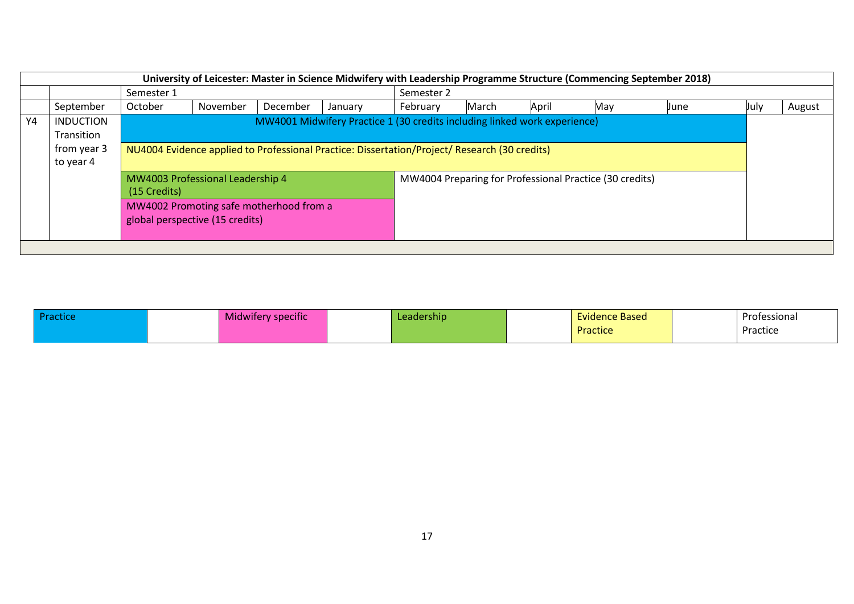| University of Leicester: Master in Science Midwifery with Leadership Programme Structure (Commencing September 2018) |                                                                                                                                                                                                                                          |                                                                                                                                |          |          |         |            |       |       |                                                         |      |      |        |
|----------------------------------------------------------------------------------------------------------------------|------------------------------------------------------------------------------------------------------------------------------------------------------------------------------------------------------------------------------------------|--------------------------------------------------------------------------------------------------------------------------------|----------|----------|---------|------------|-------|-------|---------------------------------------------------------|------|------|--------|
|                                                                                                                      |                                                                                                                                                                                                                                          | Semester 1                                                                                                                     |          |          |         | Semester 2 |       |       |                                                         |      |      |        |
|                                                                                                                      | September                                                                                                                                                                                                                                | October                                                                                                                        | November | December | January | February   | March | April | May                                                     | June | July | August |
| Y4                                                                                                                   | MW4001 Midwifery Practice 1 (30 credits including linked work experience)<br><b>INDUCTION</b><br>Transition<br>from year 3<br>NU4004 Evidence applied to Professional Practice: Dissertation/Project/ Research (30 credits)<br>to year 4 |                                                                                                                                |          |          |         |            |       |       |                                                         |      |      |        |
|                                                                                                                      |                                                                                                                                                                                                                                          |                                                                                                                                |          |          |         |            |       |       |                                                         |      |      |        |
|                                                                                                                      |                                                                                                                                                                                                                                          | MW4003 Professional Leadership 4<br>(15 Credits)<br>MW4002 Promoting safe motherhood from a<br>global perspective (15 credits) |          |          |         |            |       |       | MW4004 Preparing for Professional Practice (30 credits) |      |      |        |
|                                                                                                                      |                                                                                                                                                                                                                                          |                                                                                                                                |          |          |         |            |       |       |                                                         |      |      |        |

| <b>MIRTILLE</b> | $\cdot$ $\cdot$<br><b>ALCOHOL</b><br>Midwifery specific | Leadership | <b>Evidence Based</b> | Professional |
|-----------------|---------------------------------------------------------|------------|-----------------------|--------------|
|                 |                                                         |            | Practice              | Practice     |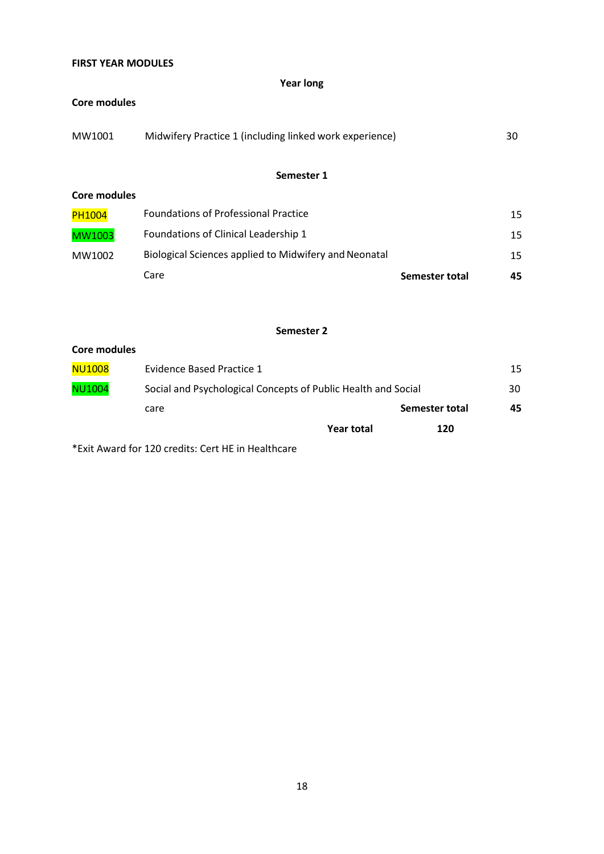## **FIRST YEAR MODULES**

### **Year long**

### **Core modules**

| MW1001 | Midwifery Practice 1 (including linked work experience) | 30 |
|--------|---------------------------------------------------------|----|
|        |                                                         |    |

## **Semester 1**

| Core modules |
|--------------|
|              |

|               | Care                                                  | Semester total | 45  |
|---------------|-------------------------------------------------------|----------------|-----|
| MW1002        | Biological Sciences applied to Midwifery and Neonatal |                | 15  |
| MW1003        | Foundations of Clinical Leadership 1                  |                | 15. |
| <b>PH1004</b> | <b>Foundations of Professional Practice</b>           |                | 15  |

### **Semester 2**

| Core modules  |                                                               |            |                |    |
|---------------|---------------------------------------------------------------|------------|----------------|----|
| NU1008        | Evidence Based Practice 1                                     |            |                | 15 |
| <b>NU1004</b> | Social and Psychological Concepts of Public Health and Social |            |                | 30 |
|               | care                                                          |            | Semester total | 45 |
|               |                                                               | Year total | 120            |    |

\*Exit Award for 120 credits: Cert HE in Healthcare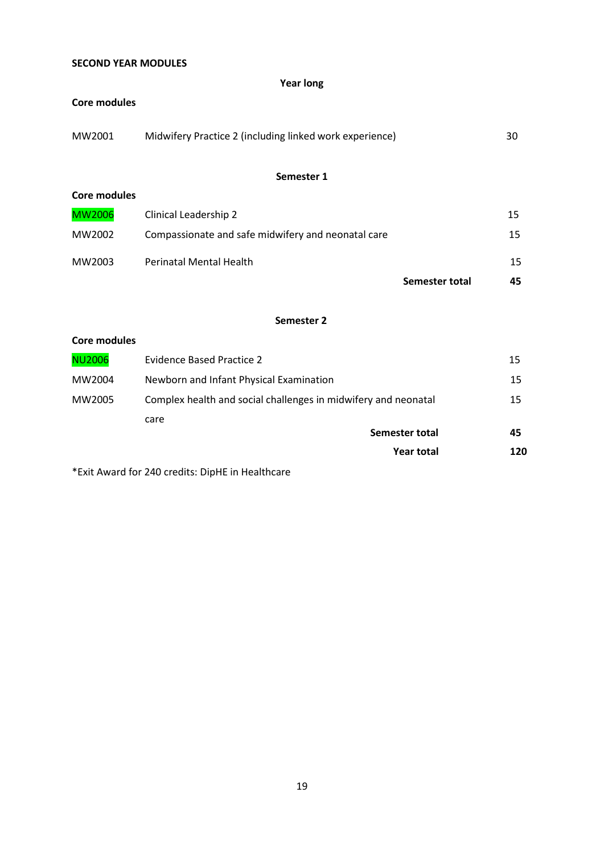## **SECOND YEAR MODULES**

### **Year long**

#### **Core modules**

| MW2001 | Midwifery Practice 2 (including linked work experience) | 30 |
|--------|---------------------------------------------------------|----|
|        |                                                         |    |

### **Semester 1**

| Core modules  |                                                    |                |    |
|---------------|----------------------------------------------------|----------------|----|
| <b>MW2006</b> | Clinical Leadership 2                              |                | 15 |
| MW2002        | Compassionate and safe midwifery and neonatal care |                | 15 |
| MW2003        | <b>Perinatal Mental Health</b>                     |                | 15 |
|               |                                                    | Semester total | 45 |

### **Semester 2**

### **Core modules**

|               | <b>Year total</b>                                              | 120 |
|---------------|----------------------------------------------------------------|-----|
|               | Semester total                                                 | 45  |
|               | care                                                           |     |
| MW2005        | Complex health and social challenges in midwifery and neonatal |     |
| MW2004        | Newborn and Infant Physical Examination                        | 15  |
| <b>NU2006</b> | Evidence Based Practice 2                                      | 15  |

\*Exit Award for 240 credits: DipHE in Healthcare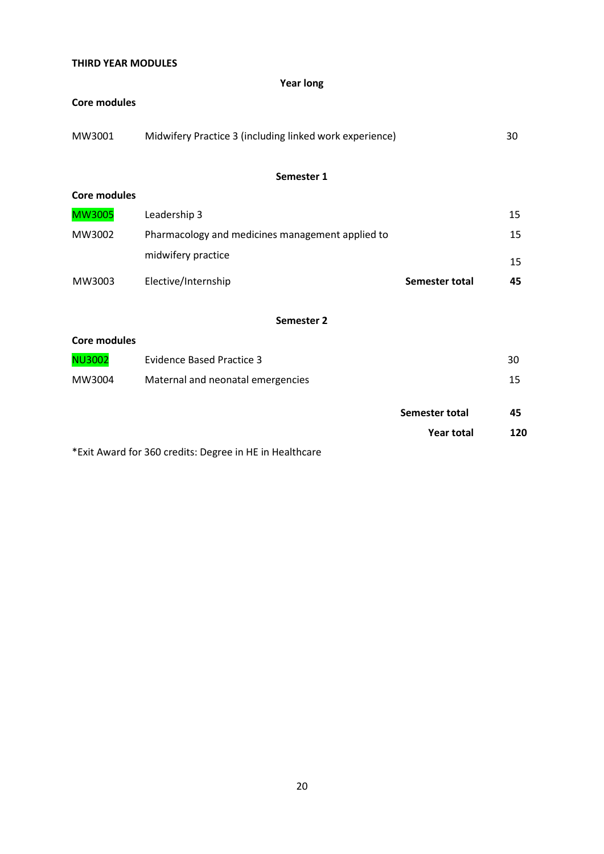## **THIRD YEAR MODULES**

### **Year long**

#### **Core modules**

| MW3001 | Midwifery Practice 3 (including linked work experience) | 30 |
|--------|---------------------------------------------------------|----|
|        |                                                         |    |

### **Semester 1**

| <b>Core modules</b> |                                                  |                |    |
|---------------------|--------------------------------------------------|----------------|----|
| <b>MW3005</b>       | Leadership 3                                     |                | 15 |
| MW3002              | Pharmacology and medicines management applied to |                | 15 |
|                     | midwifery practice                               |                | 15 |
| MW3003              | Elective/Internship                              | Semester total | 45 |

#### **Semester 2**

### **Core modules**

| <b>NU3002</b> | Evidence Based Practice 3         |                   | 30  |
|---------------|-----------------------------------|-------------------|-----|
| MW3004        | Maternal and neonatal emergencies |                   | 15  |
|               |                                   | Semester total    | 45  |
|               |                                   | <b>Year total</b> | 120 |

\*Exit Award for 360 credits: Degree in HE in Healthcare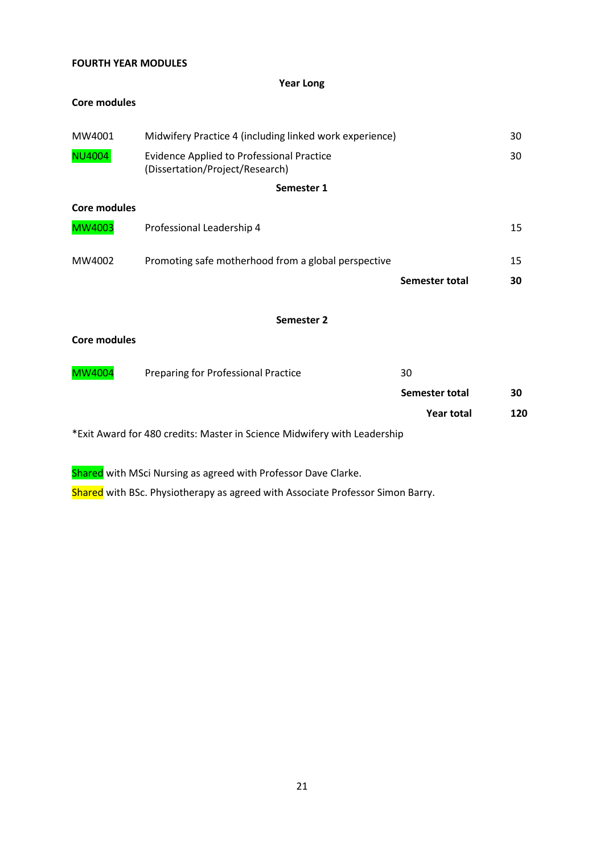## **FOURTH YEAR MODULES**

### **Year Long**

#### **Core modules**

| MW4001              | Midwifery Practice 4 (including linked work experience)                             |                   | 30  |
|---------------------|-------------------------------------------------------------------------------------|-------------------|-----|
| <b>NU4004</b>       | <b>Evidence Applied to Professional Practice</b><br>(Dissertation/Project/Research) |                   | 30  |
|                     | Semester 1                                                                          |                   |     |
| <b>Core modules</b> |                                                                                     |                   |     |
| <b>MW4003</b>       | Professional Leadership 4                                                           |                   | 15  |
| MW4002              | Promoting safe motherhood from a global perspective                                 |                   | 15  |
|                     |                                                                                     | Semester total    | 30  |
|                     | Semester 2                                                                          |                   |     |
| <b>Core modules</b> |                                                                                     |                   |     |
| <b>MW4004</b>       | <b>Preparing for Professional Practice</b>                                          | 30                |     |
|                     |                                                                                     | Semester total    | 30  |
|                     |                                                                                     | <b>Year total</b> | 120 |
|                     | *Exit Award for 480 credits: Master in Science Midwifery with Leadership            |                   |     |
|                     |                                                                                     |                   |     |

Shared with MSci Nursing as agreed with Professor Dave Clarke.

Shared with BSc. Physiotherapy as agreed with Associate Professor Simon Barry.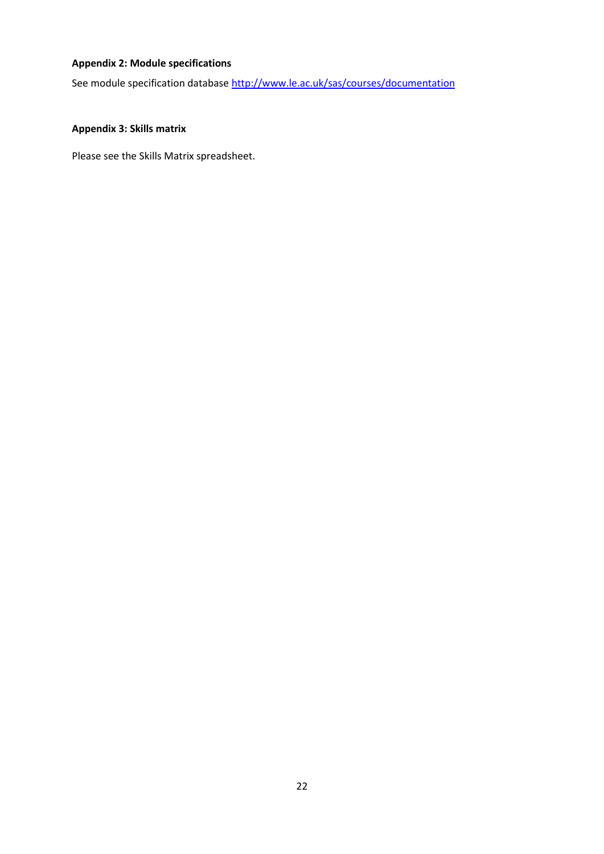## **Appendix 2: Module specifications**

See module specification database <http://www.le.ac.uk/sas/courses/documentation>

## **Appendix 3: Skills matrix**

Please see the Skills Matrix spreadsheet.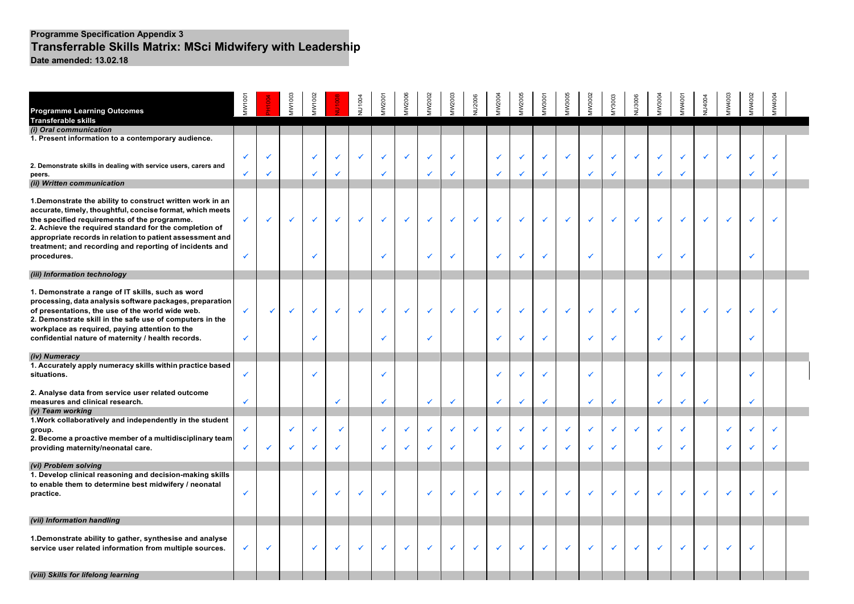#### **Programme Specification Appendix 3 Transferrable Skills Matrix: MSci Midwifery with Leadership Date amended: 13.02.18**

|                                                                           | MW1001 |   | MW1003 | MW1002       |   | NU1004 | MW200 | MW2006 | MW2002 | MW2003       | NU2006 | MW2004 | MW2005 | MW3001 | MW3005 | MW300 | MY3003 | NU3006 | MW3004 | MW4001 | <b>NU4004</b> | MW4003 | VIVV4002     | MW4004 |  |
|---------------------------------------------------------------------------|--------|---|--------|--------------|---|--------|-------|--------|--------|--------------|--------|--------|--------|--------|--------|-------|--------|--------|--------|--------|---------------|--------|--------------|--------|--|
| <b>Programme Learning Outcomes</b><br>Transferable skills                 |        |   |        |              |   |        |       |        |        |              |        |        |        |        |        |       |        |        |        |        |               |        |              |        |  |
| (i) Oral communication                                                    |        |   |        |              |   |        |       |        |        |              |        |        |        |        |        |       |        |        |        |        |               |        |              |        |  |
| 1. Present information to a contemporary audience.                        |        |   |        |              |   |        |       |        |        |              |        |        |        |        |        |       |        |        |        |        |               |        |              |        |  |
|                                                                           |        |   |        |              |   |        |       |        |        |              |        |        |        |        |        |       |        |        |        |        |               |        |              |        |  |
|                                                                           |        |   |        |              |   |        | ✓     | ✓      |        |              |        |        |        |        |        |       |        | ✓      | ✓      |        |               |        |              |        |  |
| 2. Demonstrate skills in dealing with service users, carers and<br>peers. |        |   |        |              | ✓ |        |       |        | ✓      |              |        |        | ✓      | ✓      |        |       |        |        | ✓      |        |               |        |              | ✓      |  |
| (ii) Written communication                                                |        |   |        |              |   |        |       |        |        |              |        |        |        |        |        |       |        |        |        |        |               |        |              |        |  |
|                                                                           |        |   |        |              |   |        |       |        |        |              |        |        |        |        |        |       |        |        |        |        |               |        |              |        |  |
| 1. Demonstrate the ability to construct written work in an                |        |   |        |              |   |        |       |        |        |              |        |        |        |        |        |       |        |        |        |        |               |        |              |        |  |
| accurate, timely, thoughtful, concise format, which meets                 |        |   |        |              |   |        |       |        |        |              |        |        |        |        |        |       |        |        |        |        |               |        |              |        |  |
| the specified requirements of the programme.                              | ✓      | ✓ | ✓      | $\checkmark$ | ✓ | ✓      | ✓     | ✓      | ✓      | $\checkmark$ | ✓      | ✓      | ✓      | ✓      |        | ✓     |        | ✓      | ✔      | ✓      | $\checkmark$  |        |              |        |  |
| 2. Achieve the required standard for the completion of                    |        |   |        |              |   |        |       |        |        |              |        |        |        |        |        |       |        |        |        |        |               |        |              |        |  |
| appropriate records in relation to patient assessment and                 |        |   |        |              |   |        |       |        |        |              |        |        |        |        |        |       |        |        |        |        |               |        |              |        |  |
| treatment; and recording and reporting of incidents and                   |        |   |        |              |   |        |       |        | ✓      |              |        | ✓      |        |        |        |       |        |        |        |        |               |        |              |        |  |
| procedures.                                                               |        |   |        |              |   |        | ✓     |        |        |              |        |        |        | ✓      |        |       |        |        | ✓      |        |               |        |              |        |  |
| (iii) Information technology                                              |        |   |        |              |   |        |       |        |        |              |        |        |        |        |        |       |        |        |        |        |               |        |              |        |  |
|                                                                           |        |   |        |              |   |        |       |        |        |              |        |        |        |        |        |       |        |        |        |        |               |        |              |        |  |
| 1. Demonstrate a range of IT skills, such as word                         |        |   |        |              |   |        |       |        |        |              |        |        |        |        |        |       |        |        |        |        |               |        |              |        |  |
| processing, data analysis software packages, preparation                  |        |   |        |              |   |        |       |        |        |              |        |        |        |        |        |       |        |        |        |        |               |        |              |        |  |
| of presentations, the use of the world wide web.                          |        | ✓ | ✓      | $\checkmark$ | ✓ |        | ✓     | ✓      | ✓      | $\checkmark$ | ✓      | ✓      | V      | √      |        |       |        | ✓      |        |        |               |        |              |        |  |
| 2. Demonstrate skill in the safe use of computers in the                  |        |   |        |              |   |        |       |        |        |              |        |        |        |        |        |       |        |        |        |        |               |        |              |        |  |
| workplace as required, paying attention to the                            |        |   |        |              |   |        |       |        | ✓      |              |        |        |        |        |        |       |        |        |        |        |               |        |              |        |  |
| confidential nature of maternity / health records.                        | ✓      |   |        |              |   |        | v     |        |        |              |        |        |        | ✔      |        |       |        |        | ✓      |        |               |        |              |        |  |
| (iv) Numeracy                                                             |        |   |        |              |   |        |       |        |        |              |        |        |        |        |        |       |        |        |        |        |               |        |              |        |  |
| 1. Accurately apply numeracy skills within practice based                 |        |   |        |              |   |        |       |        |        |              |        |        |        |        |        |       |        |        |        |        |               |        |              |        |  |
| situations.                                                               |        |   |        |              |   |        |       |        |        |              |        |        |        |        |        |       |        |        | ✓      |        |               |        |              |        |  |
|                                                                           |        |   |        |              |   |        |       |        |        |              |        |        |        |        |        |       |        |        |        |        |               |        |              |        |  |
| 2. Analyse data from service user related outcome                         |        |   |        |              |   |        |       |        |        |              |        |        |        |        |        |       |        |        |        |        |               |        |              |        |  |
| measures and clinical research.                                           | ✓      |   |        |              | ✓ |        | ✓     |        | ✓      |              |        | ✓      | ✓      | ✓      |        | ✓     |        |        | ✓      | ✓      | $\checkmark$  |        | $\checkmark$ |        |  |
| (v) Team working                                                          |        |   |        |              |   |        |       |        |        |              |        |        |        |        |        |       |        |        |        |        |               |        |              |        |  |
| 1. Work collaboratively and independently in the student                  |        |   |        |              | √ |        |       |        |        |              |        | ✔      | ✓      | √      |        |       |        | ✔      | ✓      |        |               |        |              | ✔      |  |
| group.<br>2. Become a proactive member of a multidisciplinary team        |        |   |        |              |   |        |       |        |        |              |        |        |        |        |        |       |        |        |        |        |               |        |              |        |  |
| providing maternity/neonatal care.                                        | ✓      | ✓ |        |              | ✓ |        | ✓     | ✓      | ✓      |              |        |        | V      | √      |        |       |        |        | ✓      |        |               |        |              | ✓      |  |
|                                                                           |        |   |        |              |   |        |       |        |        |              |        |        |        |        |        |       |        |        |        |        |               |        |              |        |  |
| (vi) Problem solving                                                      |        |   |        |              |   |        |       |        |        |              |        |        |        |        |        |       |        |        |        |        |               |        |              |        |  |
| 1. Develop clinical reasoning and decision-making skills                  |        |   |        |              |   |        |       |        |        |              |        |        |        |        |        |       |        |        |        |        |               |        |              |        |  |
| to enable them to determine best midwifery / neonatal                     |        |   |        |              |   |        |       |        |        |              |        |        |        |        |        |       |        |        |        |        |               |        |              |        |  |
| practice.                                                                 |        |   |        |              | ✓ | √      | ✓     |        | ✓      |              | ✔      |        | v      | ✓      |        | ✓     |        | √      | ✓      |        | ✓             |        |              |        |  |
|                                                                           |        |   |        |              |   |        |       |        |        |              |        |        |        |        |        |       |        |        |        |        |               |        |              |        |  |
| (vii) Information handling                                                |        |   |        |              |   |        |       |        |        |              |        |        |        |        |        |       |        |        |        |        |               |        |              |        |  |
|                                                                           |        |   |        |              |   |        |       |        |        |              |        |        |        |        |        |       |        |        |        |        |               |        |              |        |  |
| 1. Demonstrate ability to gather, synthesise and analyse                  |        |   |        |              |   |        |       |        |        |              |        |        |        |        |        |       |        |        |        |        |               |        |              |        |  |
| service user related information from multiple sources.                   |        | ✓ |        |              |   |        | ✓     | ✓      | ✓      |              |        |        |        |        |        | ✓     |        | ✓      | ✓      |        | ✓             |        | $\checkmark$ |        |  |
|                                                                           |        |   |        |              |   |        |       |        |        |              |        |        |        |        |        |       |        |        |        |        |               |        |              |        |  |
|                                                                           |        |   |        |              |   |        |       |        |        |              |        |        |        |        |        |       |        |        |        |        |               |        |              |        |  |
| (viii) Skills for lifelong learning                                       |        |   |        |              |   |        |       |        |        |              |        |        |        |        |        |       |        |        |        |        |               |        |              |        |  |